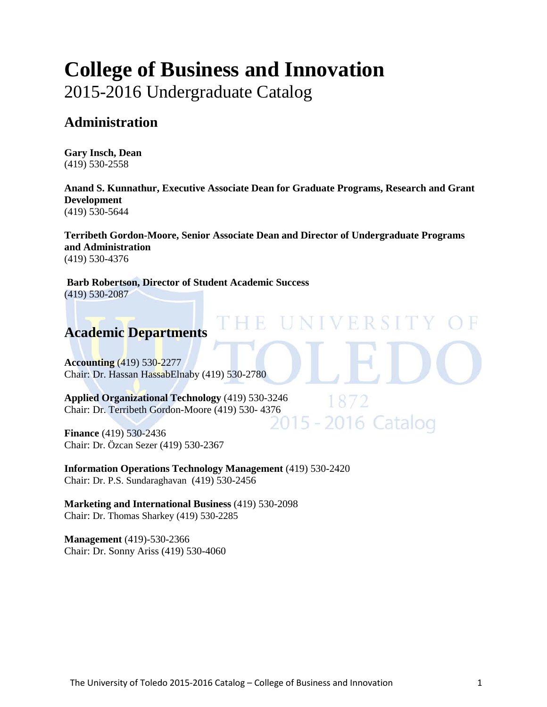# **[College of Business and](http://www.utoledo.edu/business/index.html) Innovation**

2015-2016 Undergraduate Catalog

# **Administration**

**Gary Insch, Dean** (419) 530-2558

**Anand S. Kunnathur, Executive Associate Dean for Graduate Programs, Research and Grant Development**  (419) 530-5644

**Terribeth Gordon-Moore, Senior Associate Dean and Director of Undergraduate Programs and Administration** (419) 530-4376

**IVERSIT** 

**Barb Robertson, Director of Student Academic Success**  (419) 530-2087

# **Academic Departments**

**[Accounting](http://www.utoledo.edu/business/ACCT/index.html)** (419) 530-2277 Chair: Dr. Hassan HassabElnaby (419) 530-2780

**[Applied Organizational Technology](http://www.utoledo.edu/business/aot/)** (419) 530-3246 Chair: Dr. Terribeth Gordon-Moore (419) 530- 4376<br>2015 - 2016 Catalog

**[Finance](http://www.utoledo.edu/business/FIBE/FIBECCD/FIBEWelcome.asp)** (419) 530-2436 Chair: Dr. Özcan Sezer (419) 530-2367

**[Information Operations Technology Management](http://www.utoledo.edu/business/IOTM/index.html)** (419) 530-2420 Chair: Dr. P.S. Sundaraghavan (419) 530-2456

**[Marketing and International Business](http://www.utoledo.edu/business/MIB/index.html)** (419) 530-2098 Chair: Dr. Thomas Sharkey (419) 530-2285

**[Management](http://www.utoledo.edu/business/MGMT/MGMTCCD/MGMT.html)** (419)-530-2366 Chair: Dr. Sonny Ariss (419) 530-4060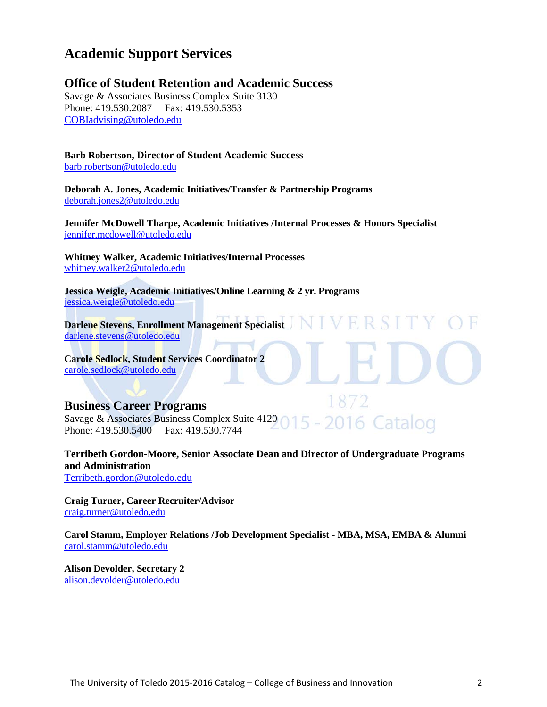## **Academic Support Services**

## **Office of Student Retention and Academic Success**

Savage & Associates Business Complex Suite 3130 Phone: 419.530.2087 Fax: 419.530.5353 [COBIadvising@utoledo.edu](mailto:COBIadvising@utoledo.edu)

## **Barb Robertson, Director of Student Academic Success**

[barb.robertson@utoledo.edu](mailto:barb.robertson@utoledo.edu)

**Deborah A. Jones, Academic Initiatives/Transfer & Partnership Programs** [deborah.jones2@utoledo.edu](mailto:deborah.jones2@utoledo.edu)

**Jennifer McDowell Tharpe, Academic Initiatives /Internal Processes & Honors Specialist** [jennifer.mcdowell@utoledo.edu](mailto:jennifer.mcdowell@utoledo.edu)

**Whitney Walker, Academic Initiatives/Internal Processes** [whitney.walker2@utoledo.edu](mailto:whitney.walker2@utoledo.edu)

**Jessica Weigle, Academic Initiatives/Online Learning & 2 yr. Programs** [jessica.weigle@utoledo.edu](mailto:jessica.weigle@utoledo.edu)

**Darlene Stevens, Enrollment Management Specialist**  [darlene.stevens@utoledo.edu](mailto:darlene.stevens@utoledo.edu)

**Carole Sedlock, Student Services Coordinator 2** [carole.sedlock@utoledo.edu](mailto:carole.sedlock@utoledo.edu)

## **Business Career Programs**

Savage & Associates Business Complex Suite 4120 016 Catalog Phone: 419.530.5400 Fax: 419.530.7744

**Terribeth Gordon-Moore, Senior Associate Dean and Director of Undergraduate Programs and Administration** [Terribeth.gordon@utoledo.edu](mailto:Terribeth.gordon@utoledo.edu)

**Craig Turner, Career Recruiter/Advisor** [craig.turner@utoledo.edu](mailto:craig.turner@utoledo.edu)

**Carol Stamm, Employer Relations /Job Development Specialist - MBA, MSA, EMBA & Alumni** [carol.stamm@utoledo.edu](mailto:carol.stamm@utoledo.edu)

**Alison Devolder, Secretary 2** [alison.devolder@utoledo.edu](mailto:alison.devolder@utoledo.edu)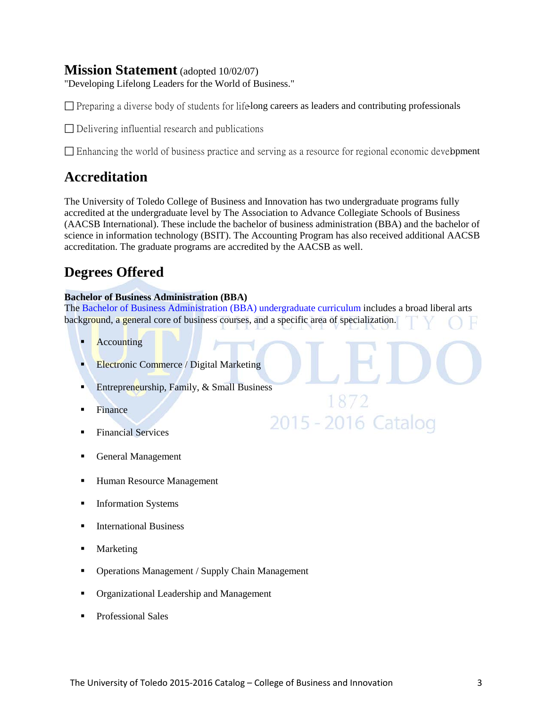## **Mission Statement** (adopted 10/02/07)

"Developing Lifelong Leaders for the World of Business."

 $\Box$  Preparing a diverse body of students for life-long careers as leaders and contributing professionals

 $\Box$  Delivering influential research and publications

 $\square$  Enhancing the world of business practice and serving as a resource for regional economic development

## **Accreditation**

The University of Toledo College of Business and Innovation has two undergraduate programs fully accredited at the undergraduate level by [The Association to Advance Collegiate Schools of Business](http://www.aacsb.edu/) (AACSB International). These include the bachelor of business administration (BBA) and the bachelor of science in information technology (BSIT). The Accounting Program has also received additional AACSB accreditation. The graduate programs are accredited by the AACSB as well.

# **[Degrees Offered](http://www.utoledo.edu/business/COBA/AcademicPrograms.html)**

## **[Bachelor of Business Administration](http://www.utoledo.edu/business/COBAProspectiveStudents/index.html) (BBA)**

The [Bachelor of Business Administration \(BBA\) undergraduate curriculum](http://www.utoledo.edu/business/FIBE/FIBEPSBBASample.html) includes a broad liberal arts background, a general core of business courses, and a specific area of specialization.

1872

2015 - 2016 Catalog

- **Accounting**
- **[Electronic Commerce](http://utoledo.edu/business/COBAProspectiveStudents/COBAPSDocs/Electronic_Commerce.pdf) / Digital Marketing**
- Entrepreneurship, Family,  $&$  Small Business
- Finance
- [Financial Services](http://utoledo.edu/business/COBAProspectiveStudents/COBAPSDocs/Financial_Services.pdf)
- General Management
- Human Resource Management
- [Information Systems](http://utoledo.edu/business/COBAProspectiveStudents/COBAPSDocs/Information_Systems.pdf)
- International Business
- **Marketing**
- Operations Management / Supply Chain Management
- [Organizational Leadership and Management](http://utoledo.edu/business/COBAProspectiveStudents/COBAPSDocs/Organizational_Leadership_and_.pdf)
- [Professional Sales](http://utoledo.edu/business/COBAProspectiveStudents/COBAPSDocs/Professional_Sales.pdf)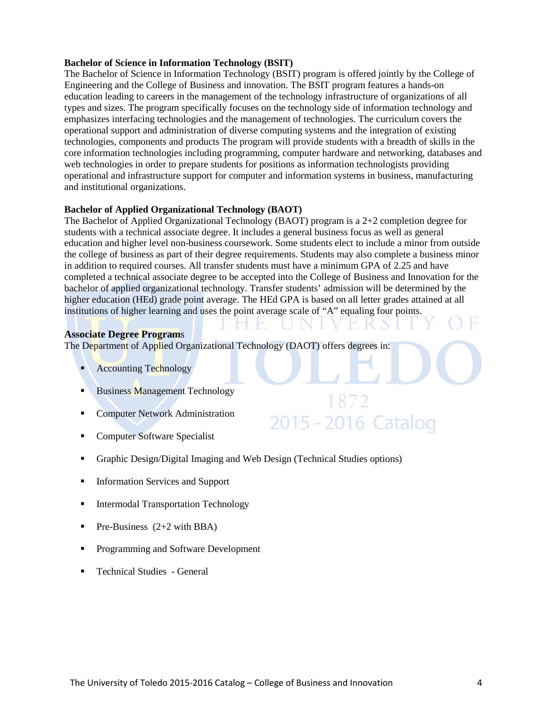#### **[Bachelor of Science in Information Technology \(BSIT\)](http://www.utoledo.edu/business/academic_programs/bsit.html)**

The Bachelor of Science in Information Technology (BSIT) program is offered jointly by the College of Engineering and the College of Business and innovation. The BSIT program features a hands-on education leading to careers in the management of the technology infrastructure of organizations of all types and sizes. The program specifically focuses on the technology side of information technology and emphasizes interfacing technologies and the management of technologies. The curriculum covers the operational support and administration of diverse computing systems and the integration of existing technologies, components and products The program will provide students with a breadth of skills in the core information technologies including programming, computer hardware and networking, databases and web technologies in order to prepare students for positions as information technologists providing operational and infrastructure support for computer and information systems in business, manufacturing and institutional organizations.

#### **[Bachelor of Applied Organizational Technology \(BAOT\)](http://www.utoledo.edu/business/academic_programs/applied_organization_technolog.html)**

The [Bachelor of Applied Organizational Technology \(BAOT\)](http://www.utoledo.edu/business/academic_programs/applied_organization_technolog.html) program is a 2+2 completion degree for students with a technical associate degree. It includes a general business focus as well as general education and higher level non-business coursework. Some students elect to include a minor from outside the college of business as part of their degree requirements. Students may also complete a business minor in addition to required courses. All transfer students must have a minimum GPA of 2.25 and have completed a technical associate degree to be accepted into the College of Business and Innovation for the bachelor of applied organizational technology. Transfer students' admission will be determined by the higher education (HEd) grade point average. The HEd GPA is based on all letter grades attained at all institutions of higher learning and uses the point average scale of "A" equaling four points.

2015 - 2016 Catalog

#### **[Associate Degree Program](http://www.utoledo.edu/business/aot/)**s

The Department of Applied Organizational Technology (DAOT) offers degrees in:

- Accounting Technology
- Business Management Technology
- **Computer Network Administration**
- **Computer Software Specialist**
- Graphic Design/Digital Imaging and Web Design (Technical Studies options)
- **Information Services and Support**
- **Intermodal Transportation Technology**
- Pre-Business  $(2+2 \text{ with } BBA)$
- **Programming and Software Development**
- **Technical Studies General**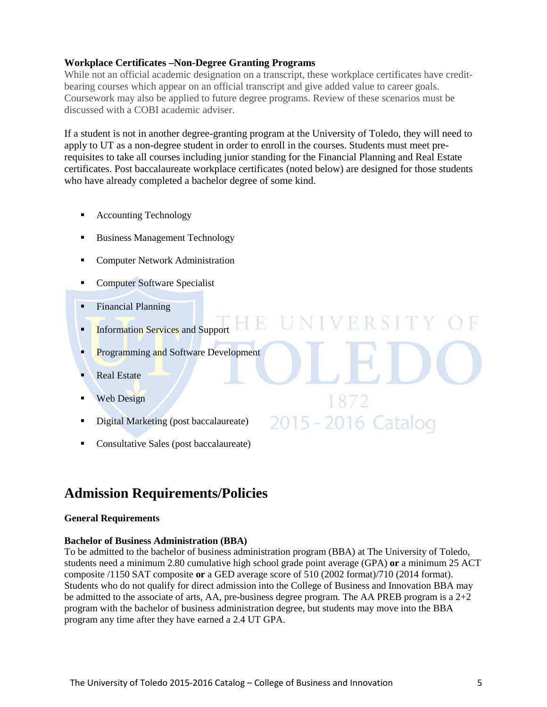## **[Workplace Certificates –Non-Degree Granting Programs](http://www.utoledo.edu/business/aot/)**

While not an official academic designation on a transcript, these workplace certificates have creditbearing courses which appear on an official transcript and give added value to career goals. Coursework may also be applied to future degree programs. Review of these scenarios must be discussed with a COBI academic adviser.

If a student is not in another degree-granting program at the University of Toledo, they will need to apply to UT as a non-degree student in order to enroll in the courses. Students must meet prerequisites to take all courses including junior standing for the Financial Planning and Real Estate certificates. Post baccalaureate workplace certificates (noted below) are designed for those students who have already completed a bachelor degree of some kind.

NIVERSITY OF

1872

2015 - 2016 Catalog

- Accounting Technology
- Business Management Technology
- Computer Network Administration
- **Computer Software Specialist**
- **Financial Planning**
- **Information Services and Support**
- Programming and Software Development
- Real Estate
- Web Design
- Digital Marketing (post baccalaureate)
- Consultative Sales (post baccalaureate)

# **Admission Requirements/Policies**

#### **General Requirements**

## **Bachelor of Business Administration (BBA)**

To be admitted to the bachelor of business administration program (BBA) at The University of Toledo, students need a minimum 2.80 cumulative high school grade point average (GPA) **or** a minimum 25 ACT composite /1150 SAT composite **or** a GED average score of 510 (2002 format)/710 (2014 format). Students who do not qualify for direct admission into the College of Business and Innovation BBA may be admitted to the associate of arts, AA, pre-business degree program. The AA PREB program is a  $2+2$ program with the bachelor of business administration degree, but students may move into the BBA program any time after they have earned a 2.4 UT GPA.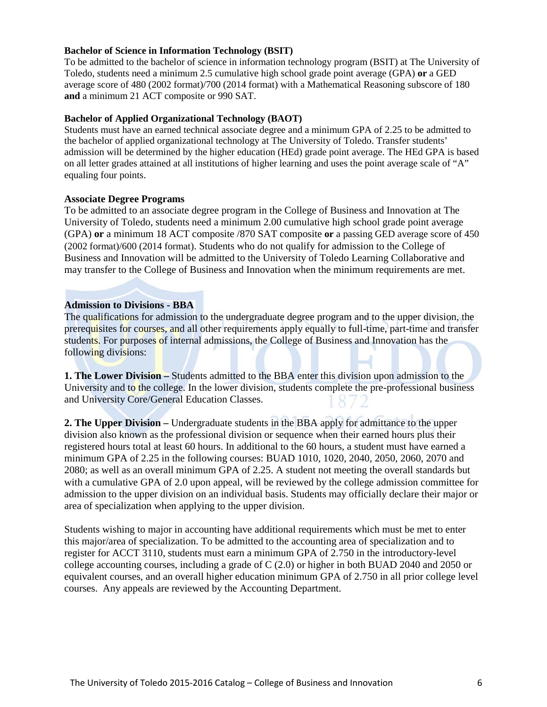#### **Bachelor of Science in Information Technology (BSIT)**

To be admitted to the bachelor of science in information technology program (BSIT) at The University of Toledo, students need a minimum 2.5 cumulative high school grade point average (GPA) **or** a GED average score of 480 (2002 format)/700 (2014 format) with a Mathematical Reasoning subscore of 180 **and** a minimum 21 ACT composite or 990 SAT.

#### **Bachelor of Applied Organizational Technology (BAOT)**

Students must have an earned technical associate degree and a minimum GPA of 2.25 to be admitted to the bachelor of applied organizational technology at The University of Toledo. Transfer students' admission will be determined by the higher education (HEd) grade point average. The HEd GPA is based on all letter grades attained at all institutions of higher learning and uses the point average scale of "A" equaling four points.

## **Associate Degree Programs**

To be admitted to an associate degree program in the College of Business and Innovation at The University of Toledo, students need a minimum 2.00 cumulative high school grade point average (GPA) **or** a minimum 18 ACT composite /870 SAT composite **or** a passing GED average score of 450 (2002 format)/600 (2014 format). Students who do not qualify for admission to the College of Business and Innovation will be admitted to the University of Toledo Learning Collaborative and may transfer to the College of Business and Innovation when the minimum requirements are met.

## **Admission to Divisions - BBA**

The qualifications for admission to the undergraduate degree program and to the upper division, the prerequisites for courses, and all other requirements apply equally to full-time, part-time and transfer students. For purposes of internal admissions, the College of Business and Innovation has the following divisions:

**1. The Lower Division –** Students admitted to the BBA enter this division upon admission to the University and to the college. In the lower division, students complete the pre-professional business and University Core/General Education Classes.

**2. The Upper Division –** Undergraduate students in the BBA apply for admittance to the upper division also known as the professional division or sequence when their earned hours plus their registered hours total at least 60 hours. In additional to the 60 hours, a student must have earned a minimum GPA of 2.25 in the following courses: BUAD 1010, 1020, 2040, 2050, 2060, 2070 and 2080; as well as an overall minimum GPA of 2.25. A student not meeting the overall standards but with a cumulative GPA of 2.0 upon appeal, will be reviewed by the college admission committee for admission to the upper division on an individual basis. Students may officially declare their major or area of specialization when applying to the upper division.

Students wishing to major in accounting have additional requirements which must be met to enter this major/area of specialization. To be admitted to the accounting area of specialization and to register for ACCT 3110, students must earn a minimum GPA of 2.750 in the introductory-level college accounting courses, including a grade of C (2.0) or higher in both BUAD 2040 and 2050 or equivalent courses, and an overall higher education minimum GPA of 2.750 in all prior college level courses. Any appeals are reviewed by the Accounting Department.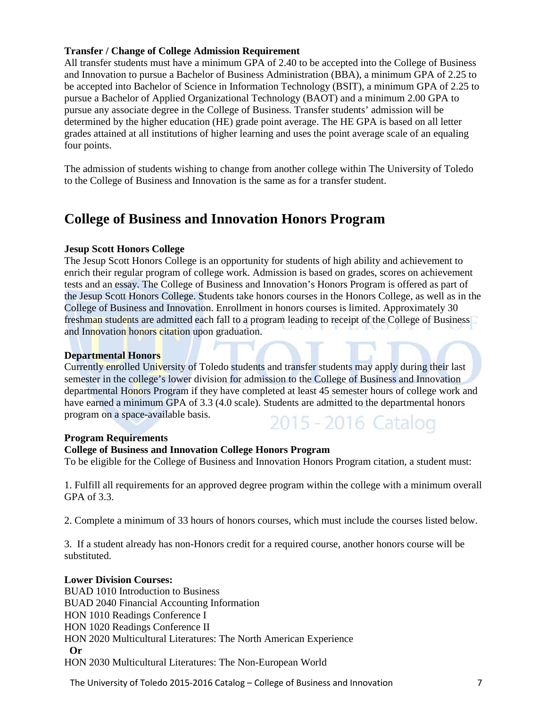## **Transfer / Change of College Admission Requirement**

All transfer students must have a minimum GPA of 2.40 to be accepted into the College of Business and Innovation to pursue a Bachelor of Business Administration (BBA), a minimum GPA of 2.25 to be accepted into Bachelor of Science in Information Technology (BSIT), a minimum GPA of 2.25 to pursue a Bachelor of Applied Organizational Technology (BAOT) and a minimum 2.00 GPA to pursue any associate degree in the College of Business. Transfer students' admission will be determined by the higher education (HE) grade point average. The HE GPA is based on all letter grades attained at all institutions of higher learning and uses the point average scale of an equaling four points.

The admission of students wishing to change from another college within The University of Toledo to the College of Business and Innovation is the same as for a transfer student.

## **College of Business and Innovation Honors Program**

#### **Jesup Scott Honors College**

The Jesup Scott Honors College is an opportunity for students of high ability and achievement to enrich their regular program of college work. Admission is based on grades, scores on achievement tests and an essay. The College of Business and Innovation's Honors Program is offered as part of the Jesup Scott Honors College. Students take honors courses in the Honors College, as well as in the College of Business and Innovation. Enrollment in honors courses is limited. Approximately 30 freshman students are admitted each fall to a program leading to receipt of the College of Business and Innovation honors citation upon graduation.

#### **Departmental Honors**

Currently enrolled University of Toledo students and transfer students may apply during their last semester in the college's lower division for admission to the College of Business and Innovation departmental Honors Program if they have completed at least 45 semester hours of college work and have earned a minimum GPA of 3.3 (4.0 scale). Students are admitted to the departmental honors program on a space-available basis. 2015 - 2016 Catalog

#### **Program Requirements**

#### **College of Business and Innovation College Honors Program**

To be eligible for the College of Business and Innovation Honors Program citation, a student must:

1. Fulfill all requirements for an approved degree program within the college with a minimum overall GPA of 3.3.

2. Complete a minimum of 33 hours of honors courses, which must include the courses listed below.

3. If a student already has non-Honors credit for a required course, another honors course will be substituted.

#### **Lower Division Courses:**

BUAD 1010 Introduction to Business BUAD 2040 Financial Accounting Information HON 1010 Readings Conference I HON 1020 Readings Conference II HON 2020 Multicultural Literatures: The North American Experience  **Or**  HON 2030 Multicultural Literatures: The Non-European World

The University of Toledo 2015-2016 Catalog – College of Business and Innovation 7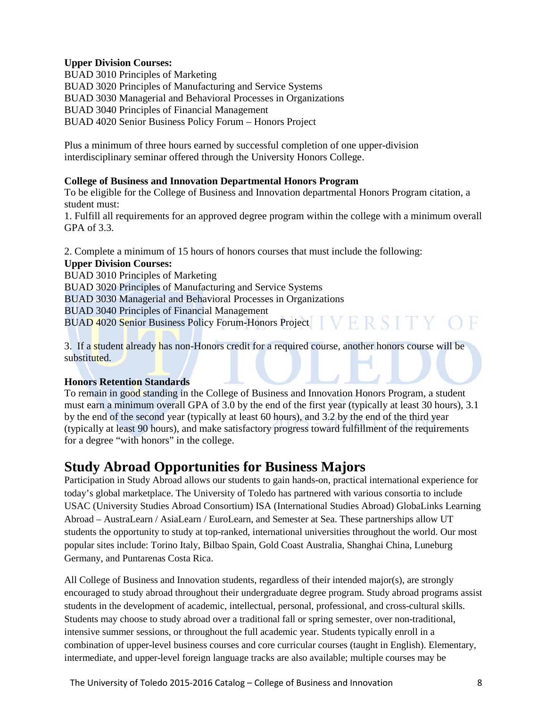## **Upper Division Courses:**

BUAD 3010 Principles of Marketing BUAD 3020 Principles of Manufacturing and Service Systems BUAD 3030 Managerial and Behavioral Processes in Organizations BUAD 3040 Principles of Financial Management BUAD 4020 Senior Business Policy Forum – Honors Project

Plus a minimum of three hours earned by successful completion of one upper-division interdisciplinary seminar offered through the University Honors College.

## **College of Business and Innovation Departmental Honors Program**

To be eligible for the College of Business and Innovation departmental Honors Program citation, a student must:

1. Fulfill all requirements for an approved degree program within the college with a minimum overall GPA of 3.3.

2. Complete a minimum of 15 hours of honors courses that must include the following: **Upper Division Courses:**  BUAD 3010 Principles of Marketing BUAD 3020 Principles of Manufacturing and Service Systems BUAD 3030 Managerial and Behavioral Processes in Organizations BUAD 3040 Principles of Financial Management VERSITY ( BUAD 4020 Senior Business Policy Forum-Honors Project

3. If a student already has non-Honors credit for a required course, another honors course will be substituted.

## **Honors Retention Standards**

To remain in good standing in the College of Business and Innovation Honors Program, a student must earn a minimum overall GPA of 3.0 by the end of the first year (typically at least 30 hours), 3.1 by the end of the second year (typically at least 60 hours), and 3.2 by the end of the third year (typically at least 90 hours), and make satisfactory progress toward fulfillment of the requirements for a degree "with honors" in the college.

## **Study Abroad Opportunities for Business Majors**

Participation in Study Abroad allows our students to gain hands-on, practical international experience for today's global marketplace. The University of Toledo has partnered with various consortia to include USAC (University Studies Abroad Consortium) ISA (International Studies Abroad) GlobaLinks Learning Abroad – AustraLearn / AsiaLearn / EuroLearn, and Semester at Sea. These partnerships allow UT students the opportunity to study at top-ranked, international universities throughout the world. Our most popular sites include: Torino Italy, Bilbao Spain, Gold Coast Australia, Shanghai China, Luneburg Germany, and Puntarenas Costa Rica.

All College of Business and Innovation students, regardless of their intended major(s), are strongly encouraged to study abroad throughout their undergraduate degree program. Study abroad programs assist students in the development of academic, intellectual, personal, professional, and cross-cultural skills. Students may choose to study abroad over a traditional fall or spring semester, over non-traditional, intensive summer sessions, or throughout the full academic year. Students typically enroll in a combination of upper-level business courses and core curricular courses (taught in English). Elementary, intermediate, and upper-level foreign language tracks are also available; multiple courses may be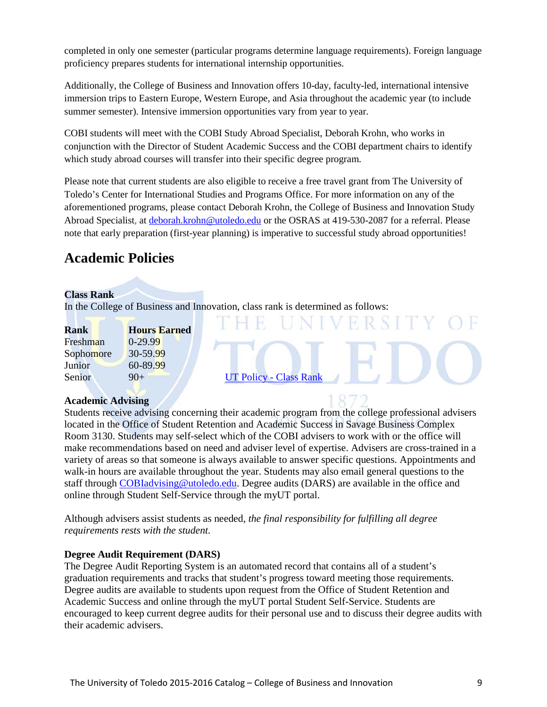completed in only one semester (particular programs determine language requirements). Foreign language proficiency prepares students for international internship opportunities.

Additionally, the College of Business and Innovation offers 10-day, faculty-led, international intensive immersion trips to Eastern Europe, Western Europe, and Asia throughout the academic year (to include summer semester). Intensive immersion opportunities vary from year to year.

COBI students will meet with the COBI Study Abroad Specialist, Deborah Krohn, who works in conjunction with the Director of Student Academic Success and the COBI department chairs to identify which study abroad courses will transfer into their specific degree program.

Please note that current students are also eligible to receive a free travel grant from The University of Toledo's Center for International Studies and Programs Office. For more information on any of the aforementioned programs, please contact Deborah Krohn, the College of Business and Innovation Study Abroad Specialist, at [deborah.krohn@utoledo.edu](mailto:deborah.krohn@utoledo.edu) or the OSRAS at 419-530-2087 for a referral. Please note that early preparation (first-year planning) is imperative to successful study abroad opportunities!

# **Academic Policies**

## **Class Rank**

In the College of Business and Innovation, class rank is determined as follows:

| Rank          | <b>Hours Earned</b> |
|---------------|---------------------|
| Freshman      | $0 - 29.99$         |
| Sophomore     | 30-59.99            |
| Junior        | 60-89.99            |
| <b>Senior</b> | $9()+$              |

**[UT Policy -](http://www.utoledo.edu/policies/academic/undergraduate/pdfs/3364-71-03%20%20Class%20rank.pdf) Class Rank** 

#### **Academic Advising**

Students receive advising concerning their academic program from the college professional advisers located in the Office of Student Retention and Academic Success in Savage Business Complex Room 3130. Students may self-select which of the COBI advisers to work with or the office will make recommendations based on need and adviser level of expertise. Advisers are cross-trained in a variety of areas so that someone is always available to answer specific questions. Appointments and walk-in hours are available throughout the year. Students may also email general questions to the staff through [COBIadvising@utoledo.edu.](mailto:COBIadvising@utoledo.edu) Degree audits (DARS) are available in the office and online through Student Self-Service through the myUT portal.

Although advisers assist students as needed, *the final responsibility for fulfilling all degree requirements rests with the student.* 

## **Degree Audit Requirement (DARS)**

The Degree Audit Reporting System is an automated record that contains all of a student's graduation requirements and tracks that student's progress toward meeting those requirements. Degree audits are available to students upon request from the Office of Student Retention and Academic Success and online through the myUT portal Student Self-Service. Students are encouraged to keep current degree audits for their personal use and to discuss their degree audits with their academic advisers.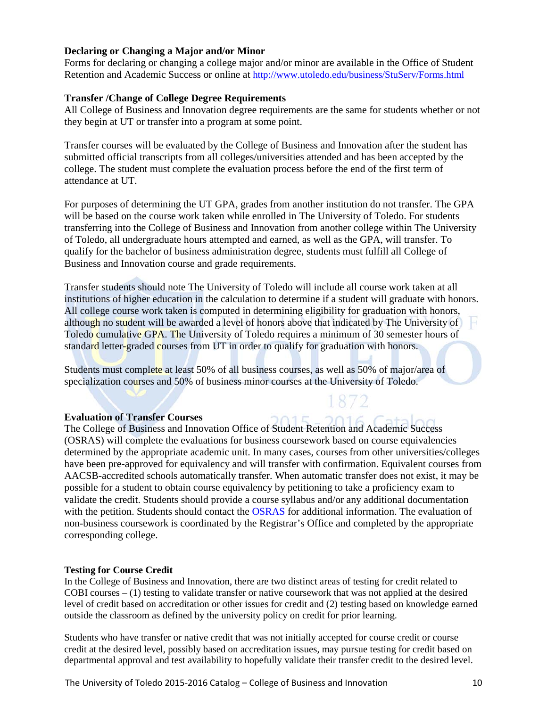## **Declaring or Changing a Major and/or Minor**

Forms for declaring or changing a college major and/or minor are available in the Office of Student Retention and Academic Success or online at<http://www.utoledo.edu/business/StuServ/Forms.html>

#### **Transfer /Change of College Degree Requirements**

All College of Business and Innovation degree requirements are the same for students whether or not they begin at UT or transfer into a program at some point.

Transfer courses will be evaluated by the College of Business and Innovation after the student has submitted official transcripts from all colleges/universities attended and has been accepted by the college. The student must complete the evaluation process before the end of the first term of attendance at UT.

For purposes of determining the UT GPA, grades from another institution do not transfer. The GPA will be based on the course work taken while enrolled in The University of Toledo. For students transferring into the College of Business and Innovation from another college within The University of Toledo, all undergraduate hours attempted and earned, as well as the GPA, will transfer. To qualify for the bachelor of business administration degree, students must fulfill all College of Business and Innovation course and grade requirements.

Transfer students should note The University of Toledo will include all course work taken at all institutions of higher education in the calculation to determine if a student will graduate with honors. All college course work taken is computed in determining eligibility for graduation with honors, although no student will be awarded a level of honors above that indicated by The University of Toledo cumulative GPA. The University of Toledo requires a minimum of 30 semester hours of standard letter-graded courses from UT in order to qualify for graduation with honors.

Students must complete at least 50% of all business courses, as well as 50% of major/area of specialization courses and 50% of business minor courses at the University of Toledo.

#### **Evaluation of Transfer Courses**

The College of Business and Innovation Office of Student Retention and Academic Success (OSRAS) will complete the evaluations for business coursework based on course equivalencies determined by the appropriate academic unit. In many cases, courses from other universities/colleges have been pre-approved for equivalency and will transfer with confirmation. Equivalent courses from AACSB-accredited schools automatically transfer. When automatic transfer does not exist, it may be possible for a student to obtain course equivalency by petitioning to take a proficiency exam to validate the credit. Students should provide a course syllabus and/or any additional documentation with the petition. Students should contact the [OSRAS](http://www.utoledo.edu/business/StuServ/index.html) for additional information. The evaluation of non-business coursework is coordinated by the Registrar's Office and completed by the appropriate corresponding college.

 $15$ 

#### **Testing for Course Credit**

In the College of Business and Innovation, there are two distinct areas of testing for credit related to COBI courses – (1) testing to validate transfer or native coursework that was not applied at the desired level of credit based on accreditation or other issues for credit and (2) testing based on knowledge earned outside the classroom as defined by the university policy on credit for prior learning.

Students who have transfer or native credit that was not initially accepted for course credit or course credit at the desired level, possibly based on accreditation issues, may pursue testing for credit based on departmental approval and test availability to hopefully validate their transfer credit to the desired level.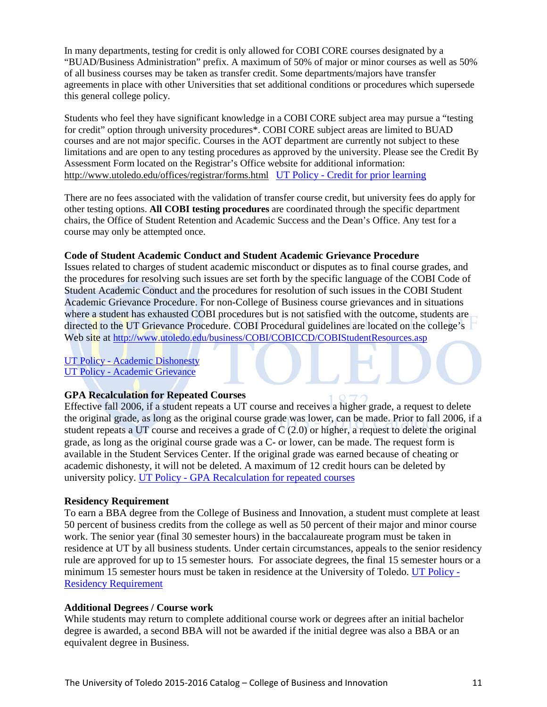In many departments, testing for credit is only allowed for COBI CORE courses designated by a "BUAD/Business Administration" prefix. A maximum of 50% of major or minor courses as well as 50% of all business courses may be taken as transfer credit. Some departments/majors have transfer agreements in place with other Universities that set additional conditions or procedures which supersede this general college policy.

Students who feel they have significant knowledge in a COBI CORE subject area may pursue a "testing for credit" option through university procedures\*. COBI CORE subject areas are limited to BUAD courses and are not major specific. Courses in the AOT department are currently not subject to these limitations and are open to any testing procedures as approved by the university. Please see the Credit By Assessment Form located on the Registrar's Office website for additional information: <http://www.utoledo.edu/offices/registrar/forms.html> UT Policy - [Credit for prior learning](http://www.utoledo.edu/policies/academic/undergraduate/pdfs/3364-71-17%20%20Credit%20for%20Prior%20Learning%20Policy.pdf)

There are no fees associated with the validation of transfer course credit, but university fees do apply for other testing options. **All COBI testing procedures** are coordinated through the specific department chairs, the Office of Student Retention and Academic Success and the Dean's Office. Any test for a course may only be attempted once.

#### **Code of Student Academic Conduct and Student Academic Grievance Procedure**

Issues related to charges of student academic misconduct or disputes as to final course grades, and the procedures for resolving such issues are set forth by the specific language of the COBI Code of Student Academic Conduct and the procedures for resolution of such issues in the COBI Student Academic Grievance Procedure. For non-College of Business course grievances and in situations where a student has exhausted COBI procedures but is not satisfied with the outcome, students are directed to the UT Grievance Procedure. COBI Procedural guidelines are located on the college's Web site at<http://www.utoledo.edu/business/COBI/COBICCD/COBIStudentResources.asp>

UT Policy - [Academic Dishonesty](http://www.utoledo.edu/policies/academic/undergraduate/pdfs/3364-71-04%20%20Academic%20dishonesty.pdf) UT Policy - [Academic Grievance](http://www.utoledo.edu/policies/academic/undergraduate/pdfs/3364-71-05%20%20Academic%20grievance.pdf)

#### **GPA Recalculation for Repeated Courses**

Effective fall 2006, if a student repeats a UT course and receives a higher grade, a request to delete the original grade, as long as the original course grade was lower, can be made. Prior to fall 2006, if a student repeats a UT course and receives a grade of  $C(2.0)$  or higher, a request to delete the original grade, as long as the original course grade was a C- or lower, can be made. The request form is available in the Student Services Center. If the original grade was earned because of cheating or academic dishonesty, it will not be deleted. A maximum of 12 credit hours can be deleted by university policy. UT Policy - [GPA Recalculation for repeated courses](http://www.utoledo.edu/policies/academic/undergraduate/pdfs/3364-71-07%20%20Repeating%20a%20course%20and%20recaluation%20of%20GPA.pdf)

#### **Residency Requirement**

To earn a BBA degree from the College of Business and Innovation, a student must complete at least 50 percent of business credits from the college as well as 50 percent of their major and minor course work. The senior year (final 30 semester hours) in the baccalaureate program must be taken in residence at UT by all business students. Under certain circumstances, appeals to the senior residency rule are approved for up to 15 semester hours. For associate degrees, the final 15 semester hours or a minimum 15 semester hours must be taken in residence at the University of Toledo. [UT Policy -](http://www.utoledo.edu/policies/academic/undergraduate/pdfs/3364-71-10%20%20Residency%20requirement%20for%20a%20degree.pdf) [Residency Requirement](http://www.utoledo.edu/policies/academic/undergraduate/pdfs/3364-71-10%20%20Residency%20requirement%20for%20a%20degree.pdf)

#### **Additional Degrees / Course work**

While students may return to complete additional course work or degrees after an initial bachelor degree is awarded, a second BBA will not be awarded if the initial degree was also a BBA or an equivalent degree in Business.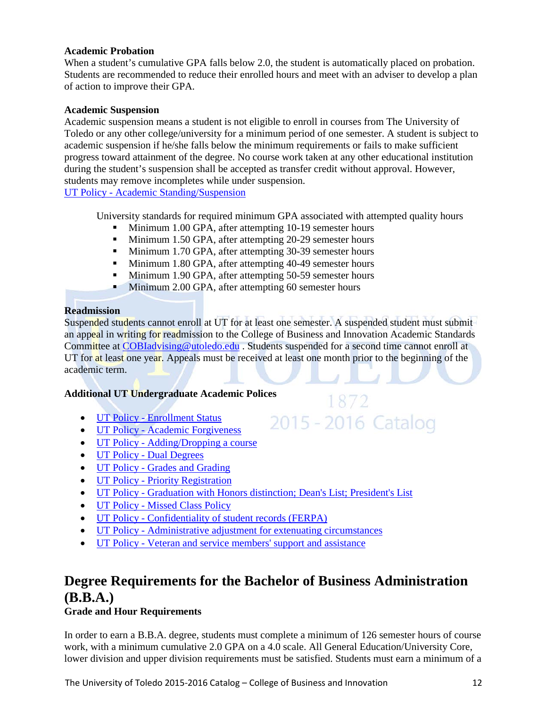## **Academic Probation**

When a student's cumulative GPA falls below 2.0, the student is automatically placed on probation. Students are recommended to reduce their enrolled hours and meet with an adviser to develop a plan of action to improve their GPA.

#### **Academic Suspension**

Academic suspension means a student is not eligible to enroll in courses from The University of Toledo or any other college/university for a minimum period of one semester. A student is subject to academic suspension if he/she falls below the minimum requirements or fails to make sufficient progress toward attainment of the degree. No course work taken at any other educational institution during the student's suspension shall be accepted as transfer credit without approval. However, students may remove incompletes while under suspension.

UT Policy - [Academic Standing/Suspension](http://www.utoledo.edu/policies/academic/undergraduate/pdfs/3364-71-01%20Academic%20standing.pdf)

University standards for required minimum GPA associated with attempted quality hours

- **Minimum 1.00 GPA, after attempting 10-19 semester hours**
- **Minimum 1.50 GPA, after attempting 20-29 semester hours**
- Minimum 1.70 GPA, after attempting 30-39 semester hours
- Minimum 1.80 GPA, after attempting 40-49 semester hours
- **Minimum 1.90 GPA, after attempting 50-59 semester hours**
- Minimum 2.00 GPA, after attempting 60 semester hours

## **Readmission**

Suspended students cannot enroll at UT for at least one semester. A suspended student must submit an appeal in writing for readmission to the College of Business and Innovation Academic Standards Committee at COBI advising @utoledo.edu . Students suspended for a second time cannot enroll at UT for at least one year. Appeals must be received at least one month prior to the beginning of the academic term.

1872

2015 - 2016 Catalog

#### **Additional UT Undergraduate Academic Polices**

- UT Policy [Enrollment Status](http://www.utoledo.edu/policies/academic/undergraduate/pdfs/3364-71-02%20Enrollment%20status.pdf)
- UT Policy [Academic Forgiveness](http://www.utoledo.edu/policies/academic/undergraduate/pdfs/3364-71-06%20%20Academic%20forgiveness.pdf)
- UT Policy [Adding/Dropping a course](http://www.utoledo.edu/policies/academic/undergraduate/pdfs/3364-71-08%20%20Adding%20or%20dropping%20a%20course.pdf)
- UT Policy [Dual Degrees](http://www.utoledo.edu/policies/academic/undergraduate/pdfs/3364-71-09%20Dual%20degrees.pdf)
- UT Policy [Grades and Grading](http://www.utoledo.edu/policies/academic/undergraduate/pdfs/3364-71-11%20%20Grades%20and%20grading.pdf)
- UT Policy [Priority Registration](http://www.utoledo.edu/policies/academic/undergraduate/pdfs/3364-71-12%20%20Priority%20registration.pdf)
- UT Policy [Graduation with Honors distinction; Dean's List; President's List](http://www.utoledo.edu/policies/academic/undergraduate/pdfs/3364-71-13%20%20Graduation%20with%20honors%20distinction.pdf)
- UT Policy [Missed Class Policy](http://www.utoledo.edu/policies/academic/undergraduate/pdfs/3364-71-14%20Missed%20class%20policy.pdf)
- UT Policy [Confidentiality of student records \(FERPA\)](http://www.utoledo.edu/policies/academic/undergraduate/pdfs/3364-71-15%20%20Confidentiality%20of%20student%20records.pdf)
- UT Policy [Administrative adjustment for extenuating circumstances](http://www.utoledo.edu/policies/academic/undergraduate/pdfs/3364-71-16%20Administrative%20adjustment%20for%20extenuating%20circumstance.pdf)
- UT Policy [Veteran and service members' support and assistance](http://www.utoledo.edu/policies/academic/undergraduate/pdfs/3364_71_18.pdf)

# **Degree Requirements for the Bachelor of Business Administration (B.B.A.)**

**Grade and Hour Requirements** 

In order to earn a B.B.A. degree, students must complete a minimum of 126 semester hours of course work, with a minimum cumulative 2.0 GPA on a 4.0 scale. All General Education/University Core, lower division and upper division requirements must be satisfied. Students must earn a minimum of a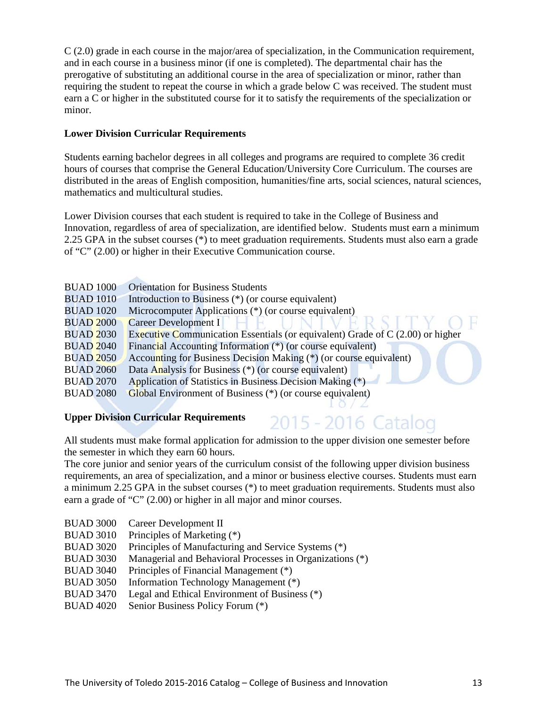C (2.0) grade in each course in the major/area of specialization, in the Communication requirement, and in each course in a business minor (if one is completed). The departmental chair has the prerogative of substituting an additional course in the area of specialization or minor, rather than requiring the student to repeat the course in which a grade below C was received. The student must earn a C or higher in the substituted course for it to satisfy the requirements of the specialization or minor.

## **Lower Division Curricular Requirements**

Students earning bachelor degrees in all colleges and programs are required to complete 36 credit hours of courses that comprise the General Education/University Core Curriculum. The courses are distributed in the areas of English composition, humanities/fine arts, social sciences, natural sciences, mathematics and multicultural studies.

Lower Division courses that each student is required to take in the College of Business and Innovation, regardless of area of specialization, are identified below. Students must earn a minimum 2.25 GPA in the subset courses (\*) to meet graduation requirements. Students must also earn a grade of "C" (2.00) or higher in their Executive Communication course.

| <b>BUAD 1000</b> | <b>Orientation for Business Students</b>                                        |
|------------------|---------------------------------------------------------------------------------|
| <b>BUAD 1010</b> | Introduction to Business $(*)$ (or course equivalent)                           |
| <b>BUAD 1020</b> | Microcomputer Applications (*) (or course equivalent)                           |
| <b>BUAD 2000</b> | Career Development I                                                            |
| <b>BUAD 2030</b> | Executive Communication Essentials (or equivalent) Grade of $C(2.00)$ or higher |
| <b>BUAD 2040</b> | Financial Accounting Information (*) (or course equivalent)                     |
| <b>BUAD 2050</b> | Accounting for Business Decision Making (*) (or course equivalent)              |
| <b>BUAD 2060</b> | Data Analysis for Business (*) (or course equivalent)                           |
| <b>BUAD 2070</b> | Application of Statistics in Business Decision Making (*)                       |
| <b>BUAD 2080</b> | Global Environment of Business (*) (or course equivalent)                       |
|                  |                                                                                 |

## **Upper Division Curricular Requirements**

All students must make formal application for admission to the upper division one semester before the semester in which they earn 60 hours.

2015 - 2016 Catalog

The core junior and senior years of the curriculum consist of the following upper division business requirements, an area of specialization, and a minor or business elective courses. Students must earn a minimum 2.25 GPA in the subset courses (\*) to meet graduation requirements. Students must also earn a grade of "C" (2.00) or higher in all major and minor courses.

- BUAD 3000 Career Development II
- BUAD 3010 Principles of Marketing (\*)
- BUAD 3020 Principles of Manufacturing and Service Systems (\*)
- BUAD 3030 Managerial and Behavioral Processes in Organizations (\*)
- BUAD 3040 Principles of Financial Management (\*)
- BUAD 3050 Information Technology Management (\*)
- BUAD 3470 Legal and Ethical Environment of Business (\*)
- BUAD 4020 Senior Business Policy Forum (\*)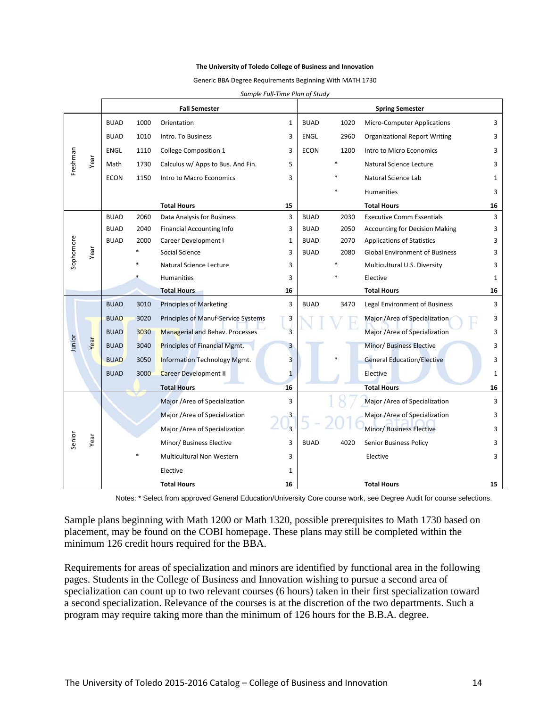#### **The University of Toledo College of Business and Innovation**

Generic BBA Degree Requirements Beginning With MATH 1730

|                |      |             |      | <b>Fall Semester</b>                   |                |             |      | <b>Spring Semester</b>                |              |
|----------------|------|-------------|------|----------------------------------------|----------------|-------------|------|---------------------------------------|--------------|
|                |      | <b>BUAD</b> | 1000 | Orientation                            | $\mathbf{1}$   | <b>BUAD</b> | 1020 | <b>Micro-Computer Applications</b>    | 3            |
|                |      | <b>BUAD</b> | 1010 | Intro. To Business                     | 3              | <b>ENGL</b> | 2960 | <b>Organizational Report Writing</b>  | 3            |
|                |      | ENGL        | 1110 | College Composition 1                  | 3              | <b>ECON</b> | 1200 | Intro to Micro Economics              | 3            |
| Freshman       | Year | Math        | 1730 | Calculus w/ Apps to Bus. And Fin.      | 5              |             |      | Natural Science Lecture               | 3            |
|                |      | <b>ECON</b> | 1150 | Intro to Macro Economics               | 3              |             |      | Natural Science Lab                   | 1            |
|                |      |             |      |                                        |                |             |      | <b>Humanities</b>                     | 3            |
|                |      |             |      | <b>Total Hours</b>                     | 15             |             |      | <b>Total Hours</b>                    | 16           |
|                |      | <b>BUAD</b> | 2060 | Data Analysis for Business             | 3              | <b>BUAD</b> | 2030 | <b>Executive Comm Essentials</b>      | 3            |
|                |      | <b>BUAD</b> | 2040 | <b>Financial Accounting Info</b>       | 3              | <b>BUAD</b> | 2050 | <b>Accounting for Decision Making</b> | 3            |
|                |      | <b>BUAD</b> | 2000 | Career Development I                   | 1              | <b>BUAD</b> | 2070 | <b>Applications of Statistics</b>     | 3            |
| Sophomore      | Year |             |      | Social Science                         | 3              | <b>BUAD</b> | 2080 | <b>Global Environment of Business</b> | 3            |
|                |      |             |      | Natural Science Lecture                | 3              |             |      | Multicultural U.S. Diversity          | 3            |
|                |      |             |      | <b>Humanities</b>                      | 3              |             |      | Elective                              | 1            |
|                |      |             |      | <b>Total Hours</b>                     | 16             |             |      | <b>Total Hours</b>                    | 16           |
|                |      | <b>BUAD</b> | 3010 | <b>Principles of Marketing</b>         | 3              | <b>BUAD</b> | 3470 | Legal Environment of Business         | 3            |
|                |      | <b>BUAD</b> | 3020 | Principles of Manuf-Service Systems    | 3              |             |      | Major /Area of Specialization         | 3            |
|                |      | <b>BUAD</b> | 3030 | <b>Managerial and Behav. Processes</b> | $\overline{3}$ |             |      | Major /Area of Specialization         | 3            |
| Junior         | Year | <b>BUAD</b> | 3040 | Principles of Financial Mgmt.          | 3              |             |      | Minor/ Business Elective              | 3            |
|                |      | <b>BUAD</b> | 3050 | Information Technology Mgmt.           | $\overline{3}$ |             |      | <b>General Education/Elective</b>     | 3            |
|                |      | <b>BUAD</b> | 3000 | <b>Career Development II</b>           | $\mathbf{1}$   |             |      | Elective                              | $\mathbf{1}$ |
|                |      |             |      | <b>Total Hours</b>                     | 16             |             |      | <b>Total Hours</b>                    | 16           |
|                |      |             |      | Major /Area of Specialization          | 3              |             |      | Major / Area of Specialization        | 3            |
|                |      |             |      | Major /Area of Specialization          |                |             |      | Major /Area of Specialization         | 3            |
| Senior<br>Year |      |             |      | Major /Area of Specialization          | $\overline{3}$ |             |      | Minor/ Business Elective              | 3            |
|                |      |             |      | Minor/ Business Elective               | 3              | <b>BUAD</b> | 4020 | <b>Senior Business Policy</b>         | 3            |
|                |      |             |      | Multicultural Non Western              | 3              |             |      | Elective                              | 3            |
|                |      |             |      | Elective                               | 1              |             |      |                                       |              |
|                |      |             |      | <b>Total Hours</b>                     | 16             |             |      | <b>Total Hours</b>                    | 15           |

*Sample Full-Time Plan of Study*

Notes: \* Select from approved General Education/University Core course work, see Degree Audit for course selections.

Sample plans beginning with Math 1200 or Math 1320, possible prerequisites to Math 1730 based on placement, may be found on the COBI homepage. These plans may still be completed within the minimum 126 credit hours required for the BBA.

Requirements for areas of specialization and minors are identified by functional area in the following pages. Students in the College of Business and Innovation wishing to pursue a second area of specialization can count up to two relevant courses (6 hours) taken in their first specialization toward a second specialization. Relevance of the courses is at the discretion of the two departments. Such a program may require taking more than the minimum of 126 hours for the B.B.A. degree.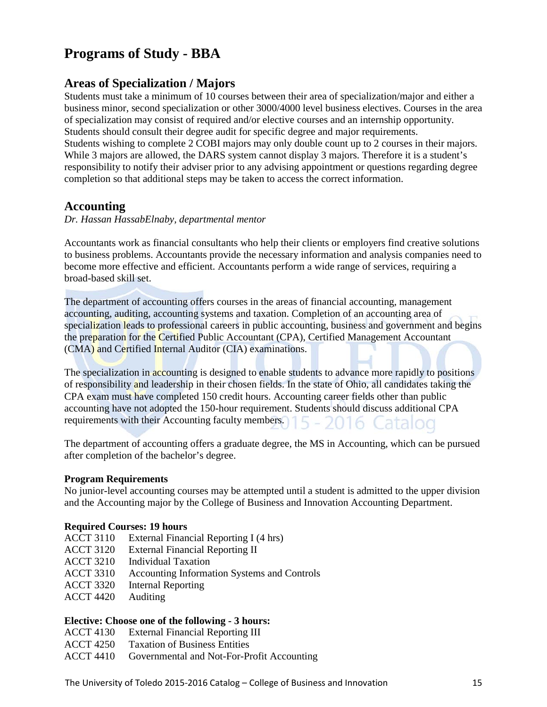# **Programs of Study - BBA**

## **Areas of Specialization / Majors**

Students must take a minimum of 10 courses between their area of specialization/major and either a business minor, second specialization or other 3000/4000 level business electives. Courses in the area of specialization may consist of required and/or elective courses and an internship opportunity. Students should consult their degree audit for specific degree and major requirements. Students wishing to complete 2 COBI majors may only double count up to 2 courses in their majors. While 3 majors are allowed, the DARS system cannot display 3 majors. Therefore it is a student's responsibility to notify their adviser prior to any advising appointment or questions regarding degree completion so that additional steps may be taken to access the correct information.

## **Accounting**

## *Dr. Hassan HassabElnaby, departmental mentor*

Accountants work as financial consultants who help their clients or employers find creative solutions to business problems. Accountants provide the necessary information and analysis companies need to become more effective and efficient. Accountants perform a wide range of services, requiring a broad-based skill set.

The department of accounting offers courses in the areas of financial accounting, management accounting, auditing, accounting systems and taxation. Completion of an accounting area of specialization leads to professional careers in public accounting, business and government and begins the preparation for the Certified Public Accountant (CPA), Certified Management Accountant (CMA) and Certified Internal Auditor (CIA) examinations.

The specialization in accounting is designed to enable students to advance more rapidly to positions of responsibility and leadership in their chosen fields. In the state of Ohio, all candidates taking the CPA exam must have completed 150 credit hours. Accounting career fields other than public accounting have not adopted the 150-hour requirement. Students should discuss additional CPA requirements with their Accounting faculty members.) 15 - 2016 Catalog

The department of accounting offers a graduate degree, the MS in Accounting, which can be pursued after completion of the bachelor's degree.

## **Program Requirements**

No junior-level accounting courses may be attempted until a student is admitted to the upper division and the Accounting major by the College of Business and Innovation Accounting Department.

#### **Required Courses: 19 hours**

- ACCT 3110 External Financial Reporting I (4 hrs)
- ACCT 3120 External Financial Reporting II
- ACCT 3210 Individual Taxation
- ACCT 3310 Accounting Information Systems and Controls
- ACCT 3320 Internal Reporting
- ACCT 4420 Auditing

## **Elective: Choose one of the following - 3 hours:**

- ACCT 4130 External Financial Reporting III
- ACCT 4250 Taxation of Business Entities
- ACCT 4410 Governmental and Not-For-Profit Accounting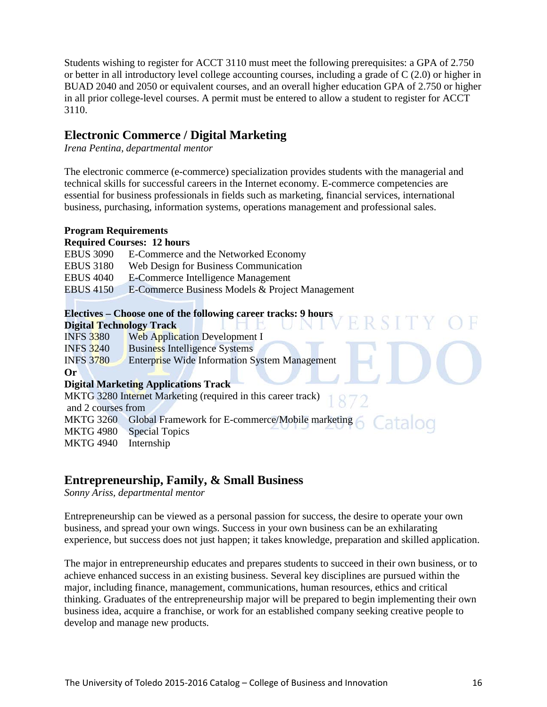Students wishing to register for ACCT 3110 must meet the following prerequisites: a GPA of 2.750 or better in all introductory level college accounting courses, including a grade of C (2.0) or higher in BUAD 2040 and 2050 or equivalent courses, and an overall higher education GPA of 2.750 or higher in all prior college-level courses. A permit must be entered to allow a student to register for ACCT 3110.

## **Electronic Commerce / Digital Marketing**

*Irena Pentina, departmental mentor*

The electronic commerce (e-commerce) specialization provides students with the managerial and technical skills for successful careers in the Internet economy. E-commerce competencies are essential for business professionals in fields such as marketing, financial services, international business, purchasing, information systems, operations management and professional sales.

## **Program Requirements**

## **Required Courses: 12 hours**

| <b>EBUS 3090</b> | E-Commerce and the Networked Economy            |
|------------------|-------------------------------------------------|
| <b>EBUS 3180</b> | Web Design for Business Communication           |
| <b>EBUS 4040</b> | E-Commerce Intelligence Management              |
| <b>EBUS 4150</b> | E-Commerce Business Models & Project Management |
|                  |                                                 |

|                                 |                                             | Electives – Choose one of the following career tracks: 9 hours |
|---------------------------------|---------------------------------------------|----------------------------------------------------------------|
| <b>Digital Technology Track</b> |                                             | TVERSITY                                                       |
| <b>INFS 3380</b>                |                                             | Web Application Development I                                  |
| <b>INFS 3240</b>                | <b>Business Intelligence Systems</b>        |                                                                |
| <b>INFS 3780</b>                |                                             | <b>Enterprise Wide Information System Management</b>           |
| Or                              |                                             |                                                                |
|                                 | <b>Digital Marketing Applications Track</b> |                                                                |
|                                 |                                             | MKTG 3280 Internet Marketing (required in this career track)   |
| and 2 courses from              |                                             |                                                                |
| <b>MKTG 3260</b>                |                                             | Global Framework for E-commerce/Mobile marketing 6 Catalog     |
| <b>MKTG 4980</b>                | <b>Special Topics</b>                       |                                                                |
| <b>MKTG 4940</b>                | Internship                                  |                                                                |

## **Entrepreneurship, Family, & Small Business**

*Sonny Ariss, departmental mentor*

Entrepreneurship can be viewed as a personal passion for success, the desire to operate your own business, and spread your own wings. Success in your own business can be an exhilarating experience, but success does not just happen; it takes knowledge, preparation and skilled application.

The major in entrepreneurship educates and prepares students to succeed in their own business, or to achieve enhanced success in an existing business. Several key disciplines are pursued within the major, including finance, management, communications, human resources, ethics and critical thinking. Graduates of the entrepreneurship major will be prepared to begin implementing their own business idea, acquire a franchise, or work for an established company seeking creative people to develop and manage new products.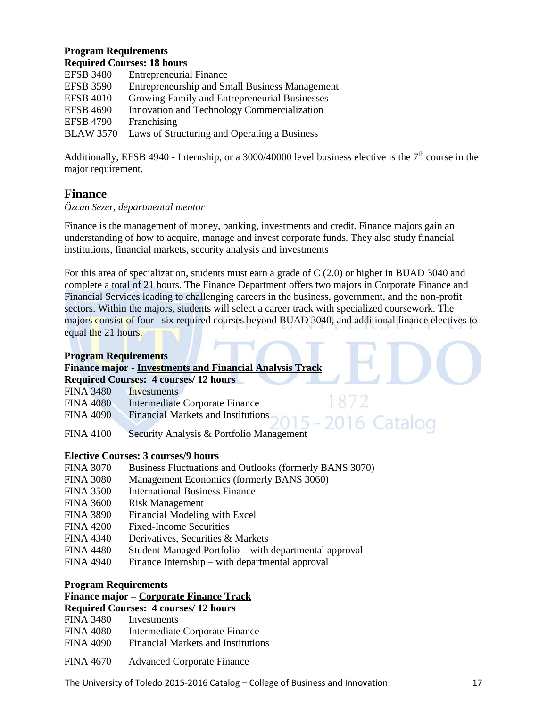#### **Program Requirements Required Courses: 18 hours**

|                  | Required Courses. To hours                            |
|------------------|-------------------------------------------------------|
| <b>EFSB 3480</b> | <b>Entrepreneurial Finance</b>                        |
| <b>EFSB 3590</b> | <b>Entrepreneurship and Small Business Management</b> |
| <b>EFSB 4010</b> | Growing Family and Entrepreneurial Businesses         |
| <b>EFSB 4690</b> | Innovation and Technology Commercialization           |
| <b>EFSB 4790</b> | Franchising                                           |
| <b>BLAW 3570</b> | Laws of Structuring and Operating a Business          |
|                  |                                                       |

Additionally, EFSB 4940 - Internship, or a 3000/40000 level business elective is the  $7<sup>th</sup>$  course in the major requirement.

## **Finance**

## *Özcan Sezer, departmental mentor*

Finance is the management of money, banking, investments and credit. Finance majors gain an understanding of how to acquire, manage and invest corporate funds. They also study financial institutions, financial markets, security analysis and investments

For this area of specialization, students must earn a grade of C (2.0) or higher in BUAD 3040 and complete a total of 21 hours. The Finance Department offers two majors in Corporate Finance and Financial Services leading to challenging careers in the business, government, and the non-profit sectors. Within the majors, students will select a career track with specialized coursework. The majors consist of four –six required courses beyond BUAD 3040, and additional finance electives to equal the 21 hours.

## **Program Requirements**

| <b>Finance major - Investments and Financial Analysis Track</b> |  |
|-----------------------------------------------------------------|--|
| <b>Required Courses: 4 courses/ 12 hours</b>                    |  |

| <b>FINA 3480</b> | Investments |
|------------------|-------------|
|------------------|-------------|

- FINA 4080 Intermediate Corporate Finance
- FINA 4090 Financial Markets and Institutions
- FINA 4100 Security Analysis & Portfolio Management

## **Elective Courses: 3 courses/9 hours**

- FINA 3070 Business Fluctuations and Outlooks (formerly BANS 3070)
- FINA 3080 Management Economics (formerly BANS 3060)
- FINA 3500 International Business Finance
- FINA 3600 Risk Management
- FINA 3890 Financial Modeling with Excel
- FINA 4200 Fixed-Income Securities
- FINA 4340 Derivatives, Securities & Markets
- FINA 4480 Student Managed Portfolio with departmental approval
- FINA 4940 Finance Internship with departmental approval

## **Program Requirements**

## **Finance major – Corporate Finance Track**

#### **Required Courses: 4 courses/ 12 hours**

- FINA 3480 Investments
- FINA 4080 Intermediate Corporate Finance
- FINA 4090 Financial Markets and Institutions
- FINA 4670 Advanced Corporate Finance

The University of Toledo 2015-2016 Catalog – College of Business and Innovation 17

6 Catalog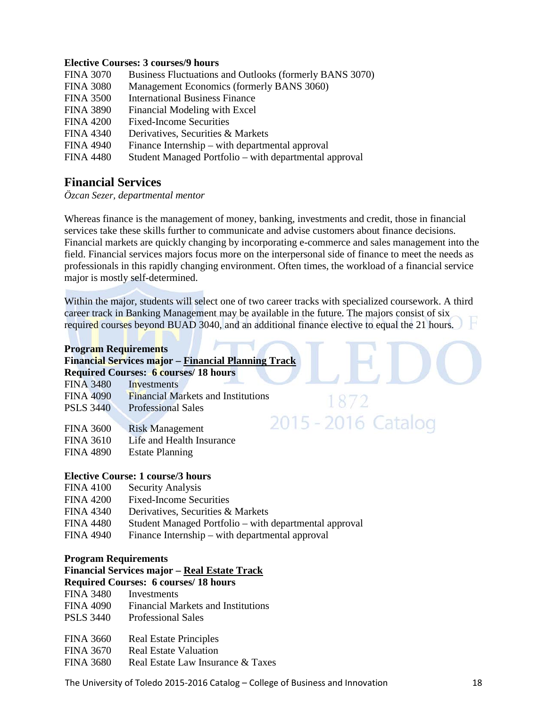#### **Elective Courses: 3 courses/9 hours**

| <b>FINA 3070</b> | Business Fluctuations and Outlooks (formerly BANS 3070) |
|------------------|---------------------------------------------------------|
| <b>FINA 3080</b> | Management Economics (formerly BANS 3060)               |
| <b>FINA 3500</b> | <b>International Business Finance</b>                   |
| <b>FINA 3890</b> | Financial Modeling with Excel                           |
| <b>FINA 4200</b> | <b>Fixed-Income Securities</b>                          |
| <b>FINA 4340</b> | Derivatives, Securities & Markets                       |
| <b>FINA 4940</b> | Finance Internship – with departmental approval         |
| <b>FINA 4480</b> | Student Managed Portfolio – with departmental approval  |

## **Financial Services**

*Özcan Sezer, departmental mentor*

Whereas finance is the management of money, banking, investments and credit, those in financial services take these skills further to communicate and advise customers about finance decisions. Financial markets are quickly changing by incorporating e-commerce and sales management into the field. Financial services majors focus more on the interpersonal side of finance to meet the needs as professionals in this rapidly changing environment. Often times, the workload of a financial service major is mostly self-determined.

Within the major, students will select one of two career tracks with specialized coursework. A third career track in Banking Management may be available in the future. The majors consist of six required courses beyond BUAD 3040, and an additional finance elective to equal the 21 hours.

1872

2015 - 2016 Catalog

## **Program Requirements**

| <b>Financial Services major - Financial Planning Track</b> |  |  |  |
|------------------------------------------------------------|--|--|--|
| <b>Required Courses: 6 courses/18 hours</b>                |  |  |  |

| $2224$ and $225$ and $225$ | --------    |
|----------------------------|-------------|
| <b>FINA 3480</b>           | Investments |

- FINA 4090 Financial Markets and Institutions
- PSLS 3440 Professional Sales
- FINA 3600 Risk Management
- FINA 3610 Life and Health Insurance
- FINA 4890 Estate Planning

## **Elective Course: 1 course/3 hours**

- FINA 4100 Security Analysis
- FINA 4200 Fixed-Income Securities
- FINA 4340 Derivatives, Securities & Markets
- FINA 4480 Student Managed Portfolio with departmental approval
- FINA 4940 Finance Internship with departmental approval

#### **Program Requirements**

**Financial Services major – Real Estate Track**

## **Required Courses: 6 courses/ 18 hours**

- FINA 3480 Investments
- FINA 4090 Financial Markets and Institutions
- PSLS 3440 Professional Sales
- FINA 3660 Real Estate Principles
- FINA 3670 Real Estate Valuation
- FINA 3680 Real Estate Law Insurance & Taxes

The University of Toledo 2015-2016 Catalog – College of Business and Innovation 18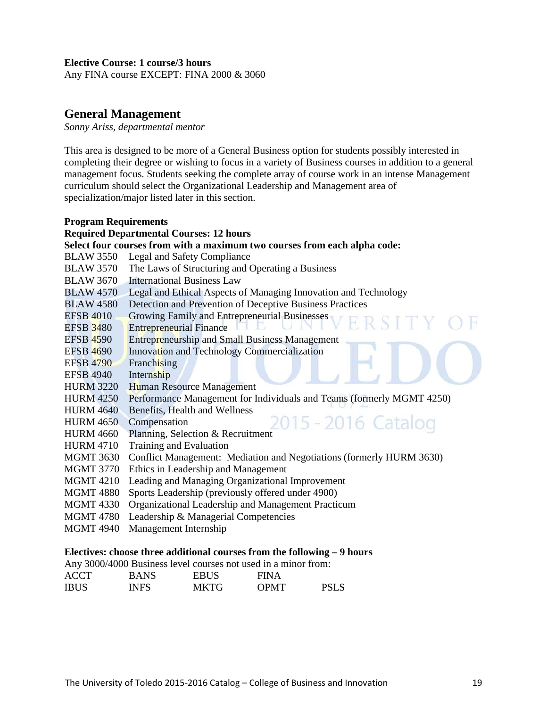## **Elective Course: 1 course/3 hours**

Any FINA course EXCEPT: FINA 2000 & 3060

## **General Management**

*Sonny Ariss, departmental mentor*

This area is designed to be more of a General Business option for students possibly interested in completing their degree or wishing to focus in a variety of Business courses in addition to a general management focus. Students seeking the complete array of course work in an intense Management curriculum should select the Organizational Leadership and Management area of specialization/major listed later in this section.

| <b>Program Requirements</b> |                                                                           |
|-----------------------------|---------------------------------------------------------------------------|
|                             | <b>Required Departmental Courses: 12 hours</b>                            |
|                             | Select four courses from with a maximum two courses from each alpha code: |
| <b>BLAW 3550</b>            | Legal and Safety Compliance                                               |
| <b>BLAW 3570</b>            | The Laws of Structuring and Operating a Business                          |
| <b>BLAW 3670</b>            | <b>International Business Law</b>                                         |
|                             | BLAW 4570 Legal and Ethical Aspects of Managing Innovation and Technology |
| <b>BLAW 4580</b>            | Detection and Prevention of Deceptive Business Practices                  |
| <b>EFSB 4010</b>            | Growing Family and Entrepreneurial Businesses                             |
| <b>EFSB 3480</b>            | <b>Entrepreneurial Finance</b>                                            |
| <b>EFSB 4590</b>            | <b>Entrepreneurship and Small Business Management</b>                     |
| <b>EFSB 4690</b>            | Innovation and Technology Commercialization                               |
| <b>EFSB 4790</b>            | Franchising                                                               |
| <b>EFSB 4940</b>            | Internship                                                                |
| <b>HURM 3220</b>            | <b>Human Resource Management</b>                                          |
| <b>HURM 4250</b>            | Performance Management for Individuals and Teams (formerly MGMT 4250)     |
| <b>HURM 4640</b>            | Benefits, Health and Wellness                                             |
| <b>HURM 4650</b>            | 2015 - 2016 Catalog<br>Compensation                                       |
| <b>HURM 4660</b>            | Planning, Selection & Recruitment                                         |
| <b>HURM 4710</b>            | Training and Evaluation                                                   |
| <b>MGMT 3630</b>            | Conflict Management: Mediation and Negotiations (formerly HURM 3630)      |
| <b>MGMT 3770</b>            | Ethics in Leadership and Management                                       |
| <b>MGMT 4210</b>            | Leading and Managing Organizational Improvement                           |
| <b>MGMT 4880</b>            | Sports Leadership (previously offered under 4900)                         |
| <b>MGMT 4330</b>            | Organizational Leadership and Management Practicum                        |
| <b>MGMT 4780</b>            | Leadership & Managerial Competencies                                      |
| <b>MGMT 4940</b>            | Management Internship                                                     |
|                             |                                                                           |

## **Electives: choose three additional courses from the following – 9 hours**

Any 3000/4000 Business level courses not used in a minor from:

| <b>ACCT</b> | <b>BANS</b> | <b>EBUS</b> | <b>FINA</b> |             |
|-------------|-------------|-------------|-------------|-------------|
| <b>IBUS</b> | <b>INFS</b> | <b>MKTG</b> | <b>OPMT</b> | <b>PSLS</b> |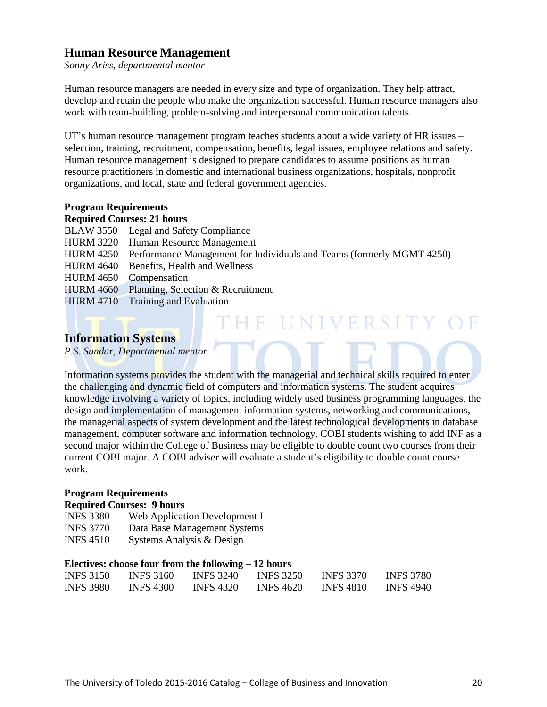## **Human Resource Management**

*Sonny Ariss, departmental mentor*

Human resource managers are needed in every size and type of organization. They help attract, develop and retain the people who make the organization successful. Human resource managers also work with team-building, problem-solving and interpersonal communication talents.

UT's human resource management program teaches students about a wide variety of HR issues – selection, training, recruitment, compensation, benefits, legal issues, employee relations and safety. Human resource management is designed to prepare candidates to assume positions as human resource practitioners in domestic and international business organizations, hospitals, nonprofit organizations, and local, state and federal government agencies.

## **Program Requirements**

#### **Required Courses: 21 hours**

BLAW 3550 Legal and Safety Compliance

- HURM 3220 Human Resource Management
- HURM 4250 Performance Management for Individuals and Teams (formerly MGMT 4250)
- HURM 4640 Benefits, Health and Wellness
- HURM 4650 Compensation
- HURM 4660 Planning, Selection & Recruitment
- HURM 4710 Training and Evaluation

## **Information Systems**

*P.S. Sundar, Departmental mentor*

Information systems provides the student with the managerial and technical skills required to enter the challenging and dynamic field of computers and information systems. The student acquires knowledge involving a variety of topics, including widely used business programming languages, the design and implementation of management information systems, networking and communications, the managerial aspects of system development and the latest technological developments in database management, computer software and information technology. COBI students wishing to add INF as a second major within the College of Business may be eligible to double count two courses from their current COBI major. A COBI adviser will evaluate a student's eligibility to double count course work.

THE UNIVERSITY OF

#### **Program Requirements**

#### **Required Courses: 9 hours**

| <b>INFS 3380</b> | Web Application Development I |
|------------------|-------------------------------|
| <b>INFS 3770</b> | Data Base Management Systems  |
| <b>INFS 4510</b> | Systems Analysis & Design     |

## **Electives: choose four from the following – 12 hours**

| <b>INFS 3150</b> | <b>INFS 3160</b> | <b>INFS 3240</b> | <b>INFS 3250</b> | <b>INFS 3370</b> | <b>INFS 3780</b> |
|------------------|------------------|------------------|------------------|------------------|------------------|
| <b>INFS 3980</b> | <b>INFS 4300</b> | <b>INFS 4320</b> | <b>INFS 4620</b> | <b>INFS 4810</b> | <b>INFS 4940</b> |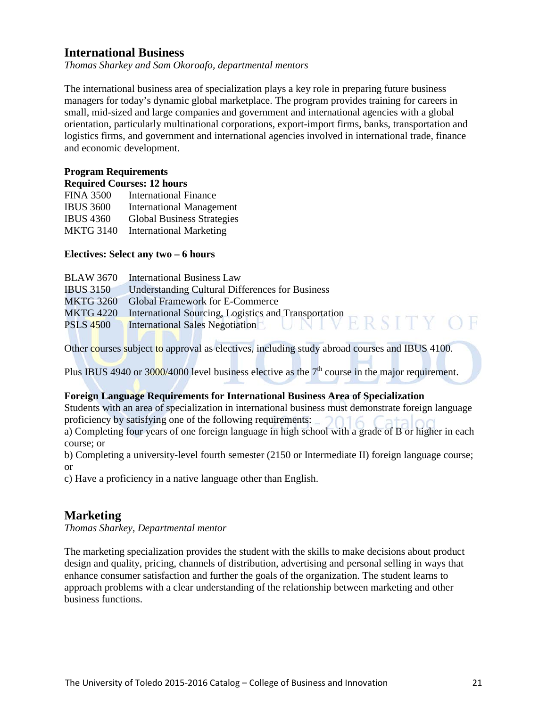## **International Business**

*Thomas Sharkey and Sam Okoroafo, departmental mentors*

The international business area of specialization plays a key role in preparing future business managers for today's dynamic global marketplace. The program provides training for careers in small, mid-sized and large companies and government and international agencies with a global orientation, particularly multinational corporations, export-import firms, banks, transportation and logistics firms, and government and international agencies involved in international trade, finance and economic development.

## **Program Requirements**

| <b>Required Courses: 12 hours</b> |  |
|-----------------------------------|--|
|-----------------------------------|--|

| <b>FINA 3500</b> | <b>International Finance</b>      |
|------------------|-----------------------------------|
| <b>IBUS 3600</b> | <b>International Management</b>   |
| <b>IBUS 4360</b> | <b>Global Business Strategies</b> |
| <b>MKTG 3140</b> | <b>International Marketing</b>    |

## **Electives: Select any two – 6 hours**

|                  | <b>BLAW 3670</b> International Business Law                                                                              |
|------------------|--------------------------------------------------------------------------------------------------------------------------|
| <b>IBUS 3150</b> | <b>Understanding Cultural Differences for Business</b>                                                                   |
|                  | MKTG 3260 Global Framework for E-Commerce                                                                                |
|                  |                                                                                                                          |
|                  | MKTG 4220 International Sourcing, Logistics and Transportation<br>PSLS 4500 International Sales Negotiation<br>TRSITY OF |
|                  |                                                                                                                          |

Other courses subject to approval as electives, including study abroad courses and IBUS 4100.

Plus IBUS 4940 or 3000/4000 level business elective as the  $7<sup>th</sup>$  course in the major requirement.

## **Foreign Language Requirements for International Business Area of Specialization**

Students with an area of specialization in international business must demonstrate foreign language proficiency by satisfying one of the following requirements:

a) Completing four years of one foreign language in high school with a grade of B or higher in each course; or

b) Completing a university-level fourth semester (2150 or Intermediate II) foreign language course; or

c) Have a proficiency in a native language other than English.

## **Marketing**

*Thomas Sharkey, Departmental mentor* 

The marketing specialization provides the student with the skills to make decisions about product design and quality, pricing, channels of distribution, advertising and personal selling in ways that enhance consumer satisfaction and further the goals of the organization. The student learns to approach problems with a clear understanding of the relationship between marketing and other business functions.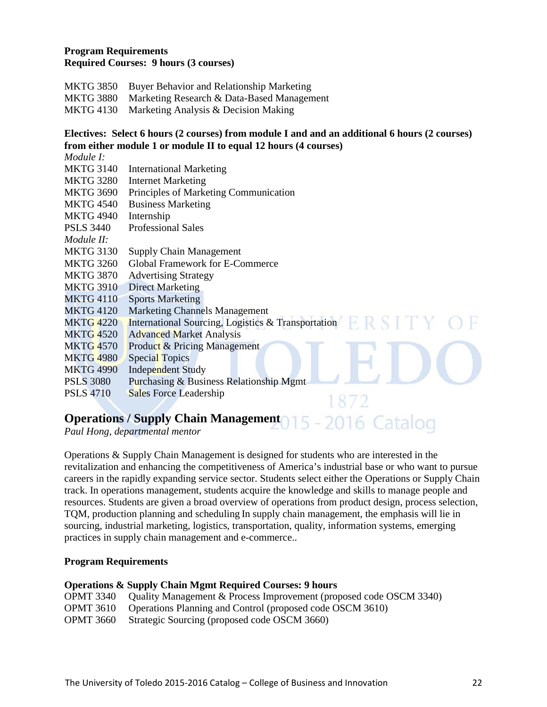## **Program Requirements Required Courses: 9 hours (3 courses)**

- MKTG 3850 Buyer Behavior and Relationship Marketing
- MKTG 3880 Marketing Research & Data-Based Management
- MKTG 4130 Marketing Analysis & Decision Making

## **Electives: Select 6 hours (2 courses) from module I and and an additional 6 hours (2 courses) from either module 1 or module II to equal 12 hours (4 courses)**

| Module I:        |                                                    |
|------------------|----------------------------------------------------|
| <b>MKTG 3140</b> | <b>International Marketing</b>                     |
| <b>MKTG 3280</b> | <b>Internet Marketing</b>                          |
| <b>MKTG 3690</b> | Principles of Marketing Communication              |
| <b>MKTG 4540</b> | <b>Business Marketing</b>                          |
| <b>MKTG 4940</b> | Internship                                         |
| <b>PSLS 3440</b> | <b>Professional Sales</b>                          |
| Module II:       |                                                    |
| <b>MKTG 3130</b> | <b>Supply Chain Management</b>                     |
| <b>MKTG 3260</b> | <b>Global Framework for E-Commerce</b>             |
| <b>MKTG 3870</b> | <b>Advertising Strategy</b>                        |
| <b>MKTG 3910</b> | <b>Direct Marketing</b>                            |
| <b>MKTG 4110</b> | <b>Sports Marketing</b>                            |
| <b>MKTG 4120</b> | <b>Marketing Channels Management</b>               |
| <b>MKTG 4220</b> | International Sourcing, Logistics & Transportation |
| <b>MKTG 4520</b> | <b>Advanced Market Analysis</b>                    |
| <b>MKTG 4570</b> | <b>Product &amp; Pricing Management</b>            |
| <b>MKTG 4980</b> | <b>Special Topics</b>                              |
| <b>MKTG 4990</b> | <b>Independent Study</b>                           |
| <b>PSLS 3080</b> | Purchasing & Business Relationship Mgmt            |
| <b>PSLS 4710</b> | <b>Sales Force Leadership</b>                      |
|                  |                                                    |

# **Operations / Supply Chain Management 015 - 2016 Catalog**

*Paul Hong, departmental mentor*

Operations & Supply Chain Management is designed for students who are interested in the revitalization and enhancing the competitiveness of America's industrial base or who want to pursue careers in the rapidly expanding service sector. Students select either the Operations or Supply Chain track. In operations management, students acquire the knowledge and skills to manage people and resources. Students are given a broad overview of operations from product design, process selection, TQM, production planning and scheduling In supply chain management, the emphasis will lie in sourcing, industrial marketing, logistics, transportation, quality, information systems, emerging practices in supply chain management and e-commerce..

## **Program Requirements**

#### **Operations & Supply Chain Mgmt Required Courses: 9 hours**

|  |  | OPMT 3340 Quality Management & Process Improvement (proposed code OSCM 3340) |  |  |
|--|--|------------------------------------------------------------------------------|--|--|
|--|--|------------------------------------------------------------------------------|--|--|

- OPMT 3610 Operations Planning and Control (proposed code OSCM 3610)
- OPMT 3660 Strategic Sourcing (proposed code OSCM 3660)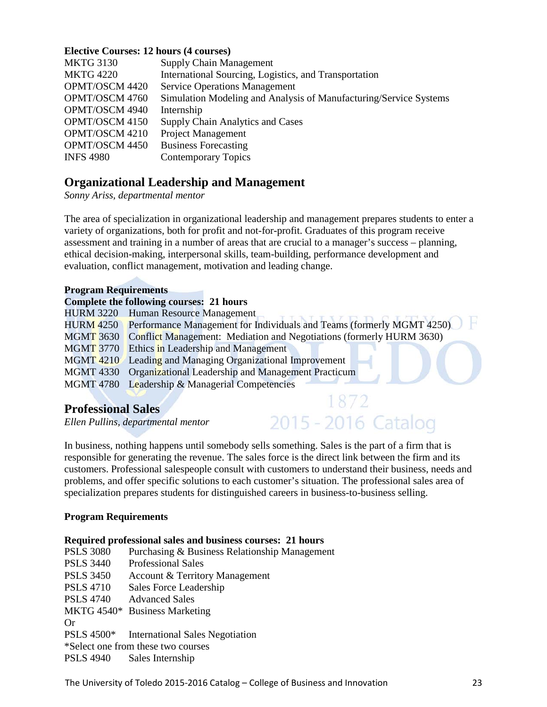## **Elective Courses: 12 hours (4 courses)**

| <b>MKTG 3130</b> | <b>Supply Chain Management</b>                                    |
|------------------|-------------------------------------------------------------------|
| <b>MKTG 4220</b> | International Sourcing, Logistics, and Transportation             |
| OPMT/OSCM 4420   | <b>Service Operations Management</b>                              |
| OPMT/OSCM 4760   | Simulation Modeling and Analysis of Manufacturing/Service Systems |
| OPMT/OSCM 4940   | Internship                                                        |
| OPMT/OSCM 4150   | <b>Supply Chain Analytics and Cases</b>                           |
| OPMT/OSCM 4210   | <b>Project Management</b>                                         |
| OPMT/OSCM 4450   | <b>Business Forecasting</b>                                       |
| <b>INFS 4980</b> | <b>Contemporary Topics</b>                                        |

## **Organizational Leadership and Management**

*Sonny Ariss, departmental mentor*

The area of specialization in organizational leadership and management prepares students to enter a variety of organizations, both for profit and not-for-profit. Graduates of this program receive assessment and training in a number of areas that are crucial to a manager's success – planning, ethical decision-making, interpersonal skills, team-building, performance development and evaluation, conflict management, motivation and leading change.

#### **Program Requirements**

## **Complete the following courses: 21 hours**

| <b>HURM 3220</b> Human Resource Management                                      |  |
|---------------------------------------------------------------------------------|--|
| HURM 4250 Performance Management for Individuals and Teams (formerly MGMT 4250) |  |
| MGMT 3630 Conflict Management: Mediation and Negotiations (formerly HURM 3630)  |  |
| <b>MGMT 3770</b> Ethics in Leadership and Management                            |  |
| MGMT 4210 Leading and Managing Organizational Improvement                       |  |
| MGMT 4330 Organizational Leadership and Management Practicum                    |  |
| MGMT 4780 Leadership & Managerial Competencies                                  |  |

1872

## **Professional Sales**

*Ellen Pullins, departmental mentor* 2015 - 2016 Catalog

In business, nothing happens until somebody sells something. Sales is the part of a firm that is responsible for generating the revenue. The sales force is the direct link between the firm and its customers. Professional salespeople consult with customers to understand their business, needs and problems, and offer specific solutions to each customer's situation. The professional sales area of specialization prepares students for distinguished careers in business-to-business selling.

#### **Program Requirements**

#### **Required professional sales and business courses: 21 hours**

| <b>PSLS 3080</b> | Purchasing & Business Relationship Management |
|------------------|-----------------------------------------------|
| <b>PSLS 3440</b> | <b>Professional Sales</b>                     |
| <b>PSLS 3450</b> | <b>Account &amp; Territory Management</b>     |
| <b>PSLS 4710</b> | Sales Force Leadership                        |
| <b>PSLS 4740</b> | <b>Advanced Sales</b>                         |
|                  | MKTG 4540* Business Marketing                 |
| Or               |                                               |
|                  | PSLS 4500* International Sales Negotiation    |
|                  | *Select one from these two courses            |
|                  | PSLS 4940 Sales Internship                    |

The University of Toledo 2015-2016 Catalog – College of Business and Innovation 23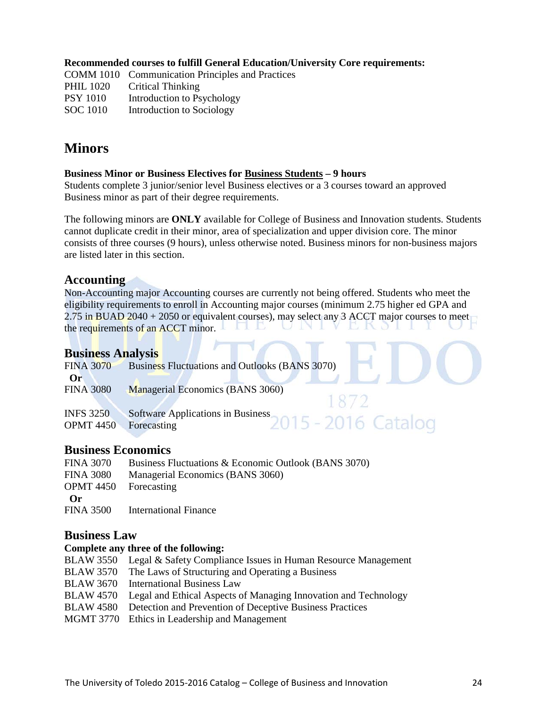**Recommended courses to fulfill General Education/University Core requirements:** 

COMM 1010 Communication Principles and Practices PHIL 1020 Critical Thinking PSY 1010 Introduction to Psychology SOC 1010 Introduction to Sociology

## **Minors**

## **Business Minor or Business Electives for Business Students – 9 hours**

Students complete 3 junior/senior level Business electives or a 3 courses toward an approved Business minor as part of their degree requirements.

The following minors are **ONLY** available for College of Business and Innovation students. Students cannot duplicate credit in their minor, area of specialization and upper division core. The minor consists of three courses (9 hours), unless otherwise noted. Business minors for non-business majors are listed later in this section.

## **Accounting**

Non-Accounting major Accounting courses are currently not being offered. Students who meet the eligibility requirements to enroll in Accounting major courses (minimum 2.75 higher ed GPA and 2.75 in BUAD 2040 + 2050 or equivalent courses), may select any 3 ACCT major courses to meet<br>the requirements of an ACCT minor. the requirements of an ACCT minor.

## **Business Analysis**

| <b>FINA 3070</b>                     | <b>Business Fluctuations and Outlooks (BANS 3070)</b>                   |
|--------------------------------------|-------------------------------------------------------------------------|
| $\bf{Or}$<br><b>FINA 3080</b>        | Managerial Economics (BANS 3060)                                        |
| <b>INFS 3250</b><br><b>OPMT 4450</b> | Software Applications in Business<br>2015 - 2016 Catalog<br>Forecasting |

## **Business Economics**

| <b>FINA 3070</b>             | Business Fluctuations & Economic Outlook (BANS 3070) |
|------------------------------|------------------------------------------------------|
| <b>FINA 3080</b>             | Managerial Economics (BANS 3060)                     |
| <b>OPMT</b> 4450 Forecasting |                                                      |
| $\Omega$ r                   |                                                      |
| <b>FINA 3500</b>             | International Finance                                |

## **Business Law**

## **Complete any three of the following:**

| BLAW 3550 Legal & Safety Compliance Issues in Human Resource Management   |
|---------------------------------------------------------------------------|
| BLAW 3570 The Laws of Structuring and Operating a Business                |
| BLAW 3670 International Business Law                                      |
| BLAW 4570 Legal and Ethical Aspects of Managing Innovation and Technology |
| <b>BLAW 4580</b> Detection and Prevention of Deceptive Business Practices |
| MGMT 3770 Ethics in Leadership and Management                             |
|                                                                           |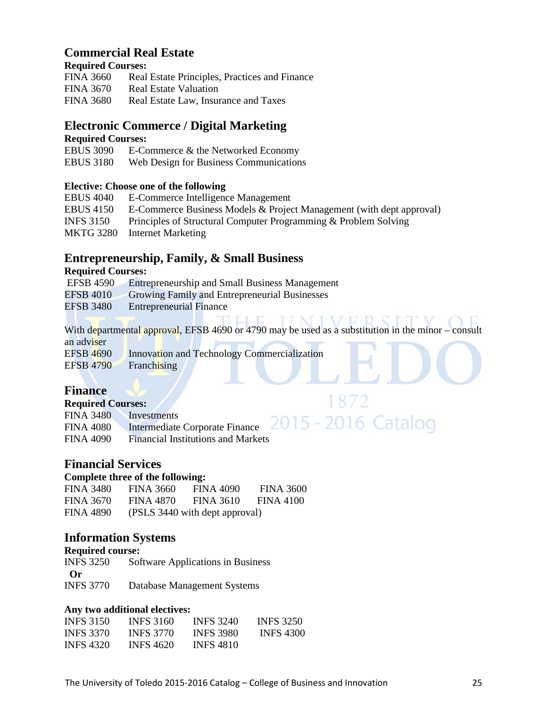## **Commercial Real Estate**

## **Required Courses:**

| <b>FINA 3660</b> | Real Estate Principles, Practices and Finance |
|------------------|-----------------------------------------------|
| FINA 3670        | <b>Real Estate Valuation</b>                  |
| <b>FINA 3680</b> | Real Estate Law, Insurance and Taxes          |

## **Electronic Commerce / Digital Marketing**

## **Required Courses:**

| <b>EBUS 3090</b> | E-Commerce & the Networked Economy     |
|------------------|----------------------------------------|
| <b>EBUS 3180</b> | Web Design for Business Communications |

## **Elective: Choose one of the following**

| <b>EBUS 4040</b> | E-Commerce Intelligence Management                                   |
|------------------|----------------------------------------------------------------------|
| <b>EBUS</b> 4150 | E-Commerce Business Models & Project Management (with dept approval) |
| <b>INFS 3150</b> | Principles of Structural Computer Programming & Problem Solving      |
|                  | MKTG 3280 Internet Marketing                                         |

## **Entrepreneurship, Family, & Small Business**

## **Required Courses:**

| <b>EFSB 4590</b> | <b>Entrepreneurship and Small Business Management</b> |
|------------------|-------------------------------------------------------|
| <b>EFSB 4010</b> | Growing Family and Entrepreneurial Businesses         |
| <b>EFSB 3480</b> | <b>Entrepreneurial Finance</b>                        |
|                  |                                                       |

**IINIV** With departmental approval, EFSB 4690 or 4790 may be used as a substitution in the minor – consult an adviser<br>EFSB 4690

1872

Innovation and Technology Commercialization EFSB 4790 Franchising

## **Finance**

## **Required Courses:**

| FINA 3480 Investments                                                                |  |
|--------------------------------------------------------------------------------------|--|
| TNA 3480 Investments<br>FINA 4080 Intermediate Corporate Finance 2015 - 2016 Catalog |  |
| FINA 4090 Financial Institutions and Markets                                         |  |

## **Financial Services**

## **Complete three of the following:**

| <b>FINA 3480</b> | FINA 3660 | FINA 4090                      | FINA 3600 |
|------------------|-----------|--------------------------------|-----------|
| <b>FINA 3670</b> | FINA 4870 | FINA 3610                      | FINA 4100 |
| <b>FINA 4890</b> |           | (PSLS 3440 with dept approval) |           |

## **Information Systems**

## **Required course:**

INFS 3250 Software Applications in Business **Or**<br>**INFS** 3770 Database Management Systems

## **Any two additional electives:**

| <b>INFS 3150</b> | <b>INFS</b> 3160 | <b>INFS 3240</b> | <b>INFS 3250</b> |
|------------------|------------------|------------------|------------------|
| <b>INES 3370</b> | <b>INES 3770</b> | <b>INES 3980</b> | <b>INFS 4300</b> |
| <b>INFS 4320</b> | <b>INFS 4620</b> | <b>INFS 4810</b> |                  |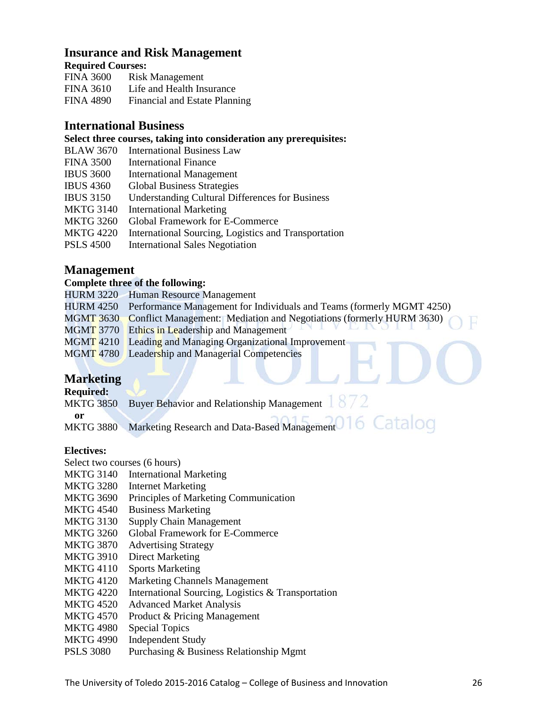## **Insurance and Risk Management**

## **Required Courses:**

| <b>FINA 3600</b> | <b>Risk Management</b>        |
|------------------|-------------------------------|
| <b>FINA 3610</b> | Life and Health Insurance     |
| <b>FINA 4890</b> | Financial and Estate Planning |

## **International Business**

## **Select three courses, taking into consideration any prerequisites:**

| <b>BLAW 3670</b> | <b>International Business Law</b>                      |
|------------------|--------------------------------------------------------|
| <b>FINA 3500</b> | <b>International Finance</b>                           |
| <b>IBUS 3600</b> | <b>International Management</b>                        |
| <b>IBUS 4360</b> | <b>Global Business Strategies</b>                      |
| <b>IBUS 3150</b> | <b>Understanding Cultural Differences for Business</b> |
| <b>MKTG 3140</b> | <b>International Marketing</b>                         |
| <b>MKTG 3260</b> | <b>Global Framework for E-Commerce</b>                 |
| <b>MKTG 4220</b> | International Sourcing, Logistics and Transportation   |
| <b>PSLS 4500</b> | <b>International Sales Negotiation</b>                 |
|                  |                                                        |

## **Management**

## **Complete three of the following:**

|                  | HURM 3220 Human Resource Management                                             |
|------------------|---------------------------------------------------------------------------------|
|                  | HURM 4250 Performance Management for Individuals and Teams (formerly MGMT 4250) |
|                  | MGMT 3630 Conflict Management: Mediation and Negotiations (formerly HURM 3630)  |
|                  | <b>MGMT</b> 3770 Ethics in Leadership and Management                            |
|                  | MGMT 4210 Leading and Managing Organizational Improvement                       |
|                  | <b>MGMT 4780</b> Leadership and Managerial Competencies                         |
|                  |                                                                                 |
| <b>Marketing</b> |                                                                                 |
|                  |                                                                                 |

## **Marketing**

## **Required:**

|                  | MKTG 3850 Buyer Behavior and Relationship Management $\Box$ |
|------------------|-------------------------------------------------------------|
|                  |                                                             |
| <b>MKTG 3880</b> | Marketing Research and Data-Based Management 016 Catalog    |

## **Electives:**

Select two courses (6 hours)

- MKTG 3140 International Marketing
- MKTG 3280 Internet Marketing
- MKTG 3690 Principles of Marketing Communication
- MKTG 4540 Business Marketing
- MKTG 3130 Supply Chain Management
- MKTG 3260 Global Framework for E-Commerce
- MKTG 3870 Advertising Strategy
- MKTG 3910 Direct Marketing
- MKTG 4110 Sports Marketing
- MKTG 4120 Marketing Channels Management
- MKTG 4220 International Sourcing, Logistics & Transportation
- MKTG 4520 Advanced Market Analysis
- MKTG 4570 Product & Pricing Management
- MKTG 4980 Special Topics
- MKTG 4990 Independent Study
- PSLS 3080 Purchasing & Business Relationship Mgmt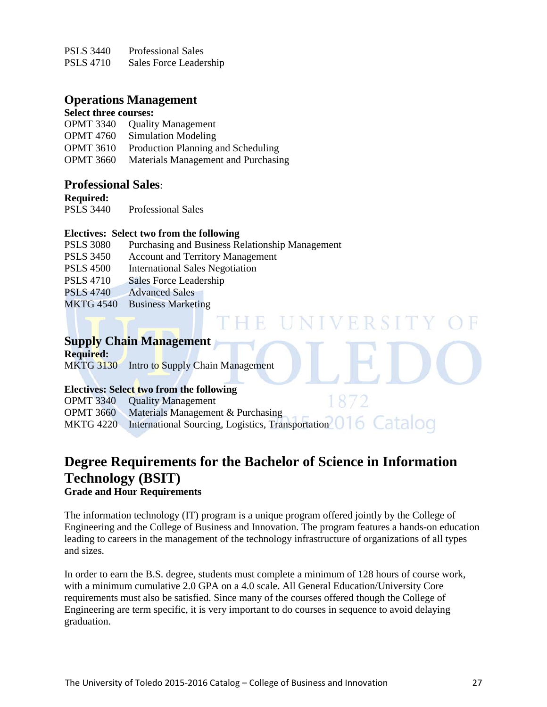PSLS 3440 Professional Sales PSLS 4710 Sales Force Leadership

## **Operations Management**

## **Select three courses:**

| <b>OPMT 3340</b> | <b>Quality Management</b>           |
|------------------|-------------------------------------|
| <b>OPMT</b> 4760 | Simulation Modeling                 |
| <b>OPMT 3610</b> | Production Planning and Scheduling  |
| <b>OPMT 3660</b> | Materials Management and Purchasing |

## **Professional Sales**:

**Required:** 

PSLS 3440 Professional Sales

## **Electives: Select two from the following**

| <b>PSLS 3080</b> | Purchasing and Business Relationship Management |
|------------------|-------------------------------------------------|
| <b>PSLS 3450</b> | <b>Account and Territory Management</b>         |
| <b>PSLS 4500</b> | <b>International Sales Negotiation</b>          |
| <b>PSLS 4710</b> | Sales Force Leadership                          |
| <b>PSLS 4740</b> | <b>Advanced Sales</b>                           |
| <b>MKTG 4540</b> | <b>Business Marketing</b>                       |

## **Supply Chain Management**

**Required:**  MKTG 3130 Intro to Supply Chain Management

## **Electives: Select two from the following**

1872 OPMT 3340 Quality Management OPMT 3660 Materials Management & Purchasing MKTG 4220 International Sourcing, Logistics, Transportation 016 Catalog

E UNIVERSITY

# **Degree Requirements for the [Bachelor of Science in Information](http://www.utoledo.edu/business/academic_programs/bsit.html)  [Technology \(BSIT\)](http://www.utoledo.edu/business/academic_programs/bsit.html)**

## **Grade and Hour Requirements**

The information technology (IT) program is a unique program offered jointly by the College of Engineering and the College of Business and Innovation. The program features a hands-on education leading to careers in the management of the technology infrastructure of organizations of all types and sizes.

In order to earn the B.S. degree, students must complete a minimum of 128 hours of course work, with a minimum cumulative 2.0 GPA on a 4.0 scale. All General Education/University Core requirements must also be satisfied. Since many of the courses offered though the College of Engineering are term specific, it is very important to do courses in sequence to avoid delaying graduation.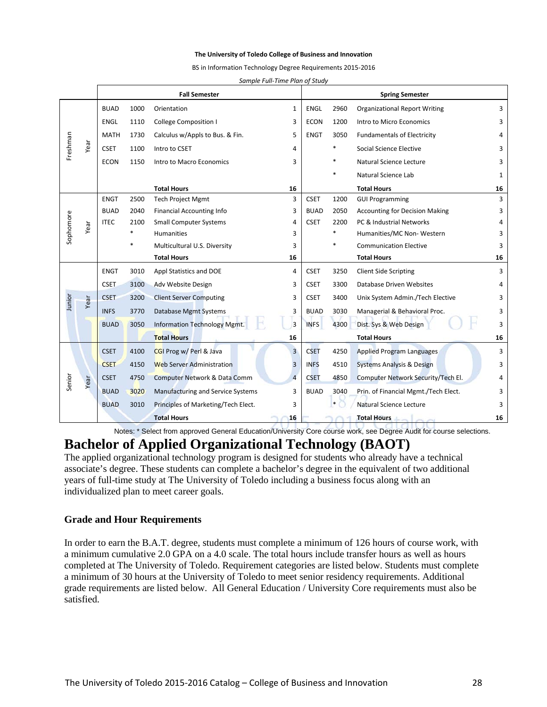#### **The University of Toledo College of Business and Innovation**

BS in Information Technology Degree Requirements 2015-2016

*Sample Full-Time Plan of Study*

|           |      |                              |        | <b>Fall Semester</b>                | <b>Spring Semester</b> |             |        |                                       |    |
|-----------|------|------------------------------|--------|-------------------------------------|------------------------|-------------|--------|---------------------------------------|----|
|           |      | <b>BUAD</b>                  | 1000   | Orientation                         | 1                      | <b>ENGL</b> | 2960   | <b>Organizational Report Writing</b>  | 3  |
|           |      | ENGL                         | 1110   | <b>College Composition I</b>        | 3                      | <b>ECON</b> | 1200   | Intro to Micro Economics              | 3  |
|           |      | <b>MATH</b>                  | 1730   | Calculus w/Appls to Bus. & Fin.     | 5                      | <b>ENGT</b> | 3050   | <b>Fundamentals of Electricity</b>    | 4  |
| Freshman  | Year | <b>CSET</b>                  | 1100   | Intro to CSET                       | 4                      |             |        | Social Science Elective               | 3  |
|           |      | <b>ECON</b>                  | 1150   | Intro to Macro Economics            | 3                      |             |        | Natural Science Lecture               | 3  |
|           |      |                              |        |                                     |                        |             |        | Natural Science Lab                   | 1  |
|           |      |                              |        | <b>Total Hours</b>                  | 16                     |             |        | <b>Total Hours</b>                    | 16 |
|           |      | <b>ENGT</b>                  | 2500   | <b>Tech Project Mgmt</b>            | 3                      | <b>CSET</b> | 1200   | <b>GUI Programming</b>                | 3  |
|           |      | <b>BUAD</b>                  | 2040   | <b>Financial Accounting Info</b>    | 3                      | <b>BUAD</b> | 2050   | <b>Accounting for Decision Making</b> | 3  |
| Sophomore | Year | <b>ITEC</b>                  | 2100   | <b>Small Computer Systems</b>       | 4                      | <b>CSET</b> | 2200   | PC & Industrial Networks              | 4  |
|           |      |                              | $\ast$ | <b>Humanities</b>                   | 3                      |             | $\ast$ | Humanities/MC Non-Western             | 3  |
|           |      | Multicultural U.S. Diversity |        |                                     |                        |             |        | <b>Communication Elective</b>         | 3  |
|           |      |                              |        | <b>Total Hours</b>                  | 16                     |             |        | <b>Total Hours</b>                    | 16 |
|           |      | <b>ENGT</b>                  | 3010   | Appl Statistics and DOE             | 4                      | <b>CSET</b> | 3250   | <b>Client Side Scripting</b>          | 3  |
|           |      | <b>CSET</b>                  | 3100   | Adv Website Design                  | 3                      | <b>CSET</b> | 3300   | Database Driven Websites              | 4  |
| Junior    | Year | <b>CSET</b>                  | 3200   | <b>Client Server Computing</b>      | 3                      | <b>CSET</b> | 3400   | Unix System Admin./Tech Elective      | 3  |
|           |      | <b>INFS</b>                  | 3770   | Database Mgmt Systems               | 3                      | <b>BUAD</b> | 3030   | Managerial & Behavioral Proc.         | 3  |
|           |      | <b>BUAD</b>                  | 3050   | Information Technology Mgmt.        | $\overline{3}$         | <b>INFS</b> | 4300   | Dist. Sys & Web Design                | 3  |
|           |      |                              |        | <b>Total Hours</b>                  | 16                     |             |        | <b>Total Hours</b>                    | 16 |
|           |      | <b>CSET</b>                  | 4100   | CGI Prog w/ Perl & Java             | $\overline{3}$         | <b>CSET</b> | 4250   | <b>Applied Program Languages</b>      | 3  |
|           |      | <b>CSET</b>                  | 4150   | <b>Web Server Administration</b>    | 3                      | <b>INFS</b> | 4510   | <b>Systems Analysis &amp; Design</b>  | 3  |
| Senior    | Year | <b>CSET</b>                  | 4750   | Computer Network & Data Comm        | $\overline{4}$         | <b>CSET</b> | 4850   | Computer Network Security/Tech El.    | 4  |
|           |      | <b>BUAD</b>                  | 3020   | Manufacturing and Service Systems   | 3                      | <b>BUAD</b> | 3040   | Prin. of Financial Mgmt./Tech Elect.  | 3  |
|           |      | <b>BUAD</b>                  | 3010   | Principles of Marketing/Tech Elect. | 3                      |             | $\ast$ | Natural Science Lecture               | 3  |
|           |      |                              |        | <b>Total Hours</b>                  | 16                     |             |        | <b>Total Hours</b>                    | 16 |

Notes: \* Select from approved General Education/University Core course work, see Degree Audit for course selections.

## **Bachelor of Applied Organizational Technology (BAOT)**

The applied organizational technology program is designed for students who already have a technical associate's degree. These students can complete a bachelor's degree in the equivalent of two additional years of full-time study at The University of Toledo including a business focus along with an individualized plan to meet career goals.

#### **Grade and Hour Requirements**

In order to earn the B.A.T. degree, students must complete a minimum of 126 hours of course work, with a minimum cumulative 2.0 GPA on a 4.0 scale. The total hours include transfer hours as well as hours completed at The University of Toledo. Requirement categories are listed below. Students must complete a minimum of 30 hours at the University of Toledo to meet senior residency requirements. Additional grade requirements are listed below. All General Education / University Core requirements must also be satisfied.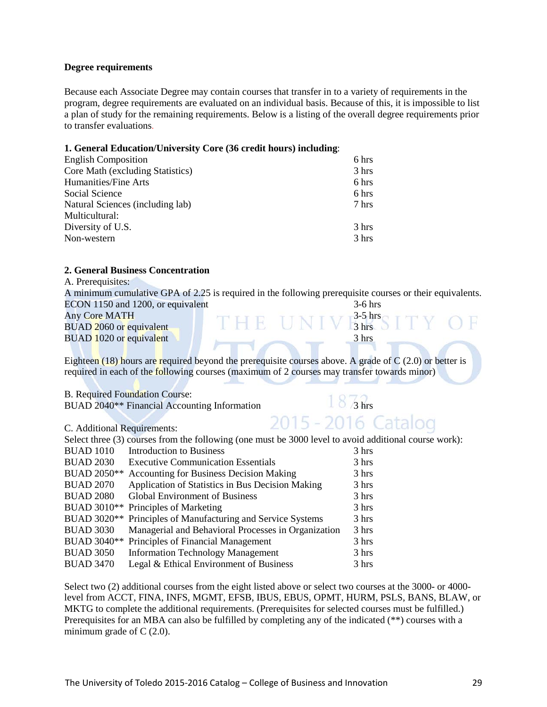#### **Degree requirements**

Because each Associate Degree may contain courses that transfer in to a variety of requirements in the program, degree requirements are evaluated on an individual basis. Because of this, it is impossible to list a plan of study for the remaining requirements. Below is a listing of the overall degree requirements prior to transfer evaluations.

#### **1. General Education/University Core (36 credit hours) including**:

| <b>English Composition</b>       | 6 hrs |
|----------------------------------|-------|
| Core Math (excluding Statistics) | 3 hrs |
| Humanities/Fine Arts             | 6 hrs |
| Social Science                   | 6 hrs |
| Natural Sciences (including lab) | 7 hrs |
| Multicultural:                   |       |
| Diversity of U.S.                | 3 hrs |
| Non-western                      | 3 hrs |
|                                  |       |

## **2. General Business Concentration**

| 2. GUIULAI DUSINUSS CONCENTI AUONI                       |                                                                                                             |
|----------------------------------------------------------|-------------------------------------------------------------------------------------------------------------|
| A. Prerequisites:                                        |                                                                                                             |
|                                                          | A minimum cumulative GPA of 2.25 is required in the following prerequisite courses or their equivalents.    |
| ECON 1150 and 1200, or equivalent                        | $3-6$ hrs                                                                                                   |
| <b>Any Core MATH</b>                                     | THE UNIVESTSITY OF                                                                                          |
| BUAD 2060 or equivalent                                  |                                                                                                             |
| BUAD 1020 or equivalent                                  | 3 hrs                                                                                                       |
|                                                          |                                                                                                             |
|                                                          | Eighteen $(18)$ hours are required beyond the prerequisite courses above. A grade of C $(2.0)$ or better is |
|                                                          | required in each of the following courses (maximum of 2 courses may transfer towards minor)                 |
|                                                          |                                                                                                             |
| <b>B.</b> Required Foundation Course:                    |                                                                                                             |
| BUAD 2040 <sup>**</sup> Financial Accounting Information | $18/3$ hrs                                                                                                  |
|                                                          |                                                                                                             |
| C. Additional Requirements:                              | 2015 - 2016 Catalog                                                                                         |
|                                                          | Select three $(3)$ courses from the following (one must be $3000$ level to avoid additional course work).   |

|                    | Select three (3) courses from the following (one must be 3000 level to avoid additional course work): |       |
|--------------------|-------------------------------------------------------------------------------------------------------|-------|
| <b>BUAD 1010</b>   | Introduction to Business                                                                              | 3 hrs |
| <b>BUAD 2030</b>   | <b>Executive Communication Essentials</b>                                                             | 3 hrs |
| <b>BUAD 2050**</b> | Accounting for Business Decision Making                                                               | 3 hrs |
| <b>BUAD 2070</b>   | Application of Statistics in Bus Decision Making                                                      | 3 hrs |
| <b>BUAD 2080</b>   | <b>Global Environment of Business</b>                                                                 | 3 hrs |
|                    | BUAD 3010 <sup>**</sup> Principles of Marketing                                                       | 3 hrs |
|                    | BUAD 3020 <sup>**</sup> Principles of Manufacturing and Service Systems                               | 3 hrs |
| <b>BUAD 3030</b>   | Managerial and Behavioral Processes in Organization                                                   | 3 hrs |
|                    | BUAD 3040 <sup>**</sup> Principles of Financial Management                                            | 3 hrs |
| <b>BUAD 3050</b>   | <b>Information Technology Management</b>                                                              | 3 hrs |
| <b>BUAD 3470</b>   | Legal & Ethical Environment of Business                                                               | 3 hrs |
|                    |                                                                                                       |       |

Select two (2) additional courses from the eight listed above or select two courses at the 3000- or 4000 level from ACCT, FINA, INFS, MGMT, EFSB, IBUS, EBUS, OPMT, HURM, PSLS, BANS, BLAW, or MKTG to complete the additional requirements. (Prerequisites for selected courses must be fulfilled.) Prerequisites for an MBA can also be fulfilled by completing any of the indicated (\*\*) courses with a minimum grade of  $C(2.0)$ .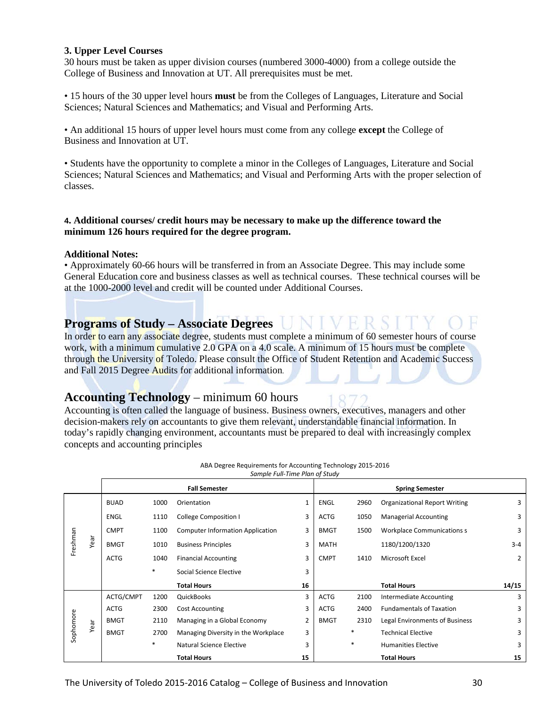#### **3. Upper Level Courses**

30 hours must be taken as upper division courses (numbered 3000-4000) from a college outside the College of Business and Innovation at UT. All prerequisites must be met.

• 15 hours of the 30 upper level hours **must** be from the Colleges of Languages, Literature and Social Sciences; Natural Sciences and Mathematics; and Visual and Performing Arts.

• An additional 15 hours of upper level hours must come from any college **except** the College of Business and Innovation at UT.

• Students have the opportunity to complete a minor in the Colleges of Languages, Literature and Social Sciences; Natural Sciences and Mathematics; and Visual and Performing Arts with the proper selection of classes.

#### **4. Additional courses/ credit hours may be necessary to make up the difference toward the minimum 126 hours required for the degree program.**

#### **Additional Notes:**

• Approximately 60-66 hours will be transferred in from an Associate Degree. This may include some General Education core and business classes as well as technical courses. These technical courses will be at the 1000-2000 level and credit will be counted under Additional Courses.

## **Programs of Study – Associate Degrees**

In order to earn any associate degree, students must complete a minimum of 60 semester hours of course work, with a minimum cumulative 2.0 GPA on a 4.0 scale. A minimum of 15 hours must be complete through the University of Toledo. Please consult the Office of Student Retention and Academic Success and Fall 2015 Degree Audits for additional information.

## **Accounting Technology** – minimum 60 hours

Accounting is often called the language of business. Business owners, executives, managers and other decision-makers rely on accountants to give them relevant, understandable financial information. In today's rapidly changing environment, accountants must be prepared to deal with increasingly complex concepts and accounting principles

|           |      |             |        | <b>Fall Semester</b>                    |                |             |        | <b>Spring Semester</b>               |                |
|-----------|------|-------------|--------|-----------------------------------------|----------------|-------------|--------|--------------------------------------|----------------|
|           |      | <b>BUAD</b> | 1000   | Orientation                             | $\mathbf{1}$   | <b>ENGL</b> | 2960   | <b>Organizational Report Writing</b> | 3              |
|           |      | <b>ENGL</b> | 1110   | <b>College Composition I</b>            | 3              | <b>ACTG</b> | 1050   | <b>Managerial Accounting</b>         | 3              |
|           |      | <b>CMPT</b> | 1100   | <b>Computer Information Application</b> | 3              | <b>BMGT</b> | 1500   | <b>Workplace Communications s</b>    | 3              |
| Freshman  | Year | <b>BMGT</b> | 1010   | <b>Business Principles</b>              | 3              | MATH        |        | 1180/1200/1320                       | $3 - 4$        |
|           |      | <b>ACTG</b> | 1040   | <b>Financial Accounting</b>             | 3              | <b>CMPT</b> | 1410   | Microsoft Excel                      | $\overline{2}$ |
|           |      |             | $\ast$ | Social Science Elective                 | 3              |             |        |                                      |                |
|           |      |             |        | <b>Total Hours</b>                      | 16             |             |        | <b>Total Hours</b>                   | 14/15          |
|           |      | ACTG/CMPT   | 1200   | QuickBooks                              | 3              | <b>ACTG</b> | 2100   | Intermediate Accounting              | 3              |
|           |      | <b>ACTG</b> | 2300   | <b>Cost Accounting</b>                  | 3              | <b>ACTG</b> | 2400   | <b>Fundamentals of Taxation</b>      | 3              |
|           | Year | <b>BMGT</b> | 2110   | Managing in a Global Economy            | $\overline{2}$ | <b>BMGT</b> | 2310   | Legal Environments of Business       | 3              |
| Sophomore |      | <b>BMGT</b> | 2700   | Managing Diversity in the Workplace     | 3              |             | $\ast$ | <b>Technical Elective</b>            | 3              |
|           |      |             | $\ast$ | Natural Science Elective                | 3              |             | $\ast$ | <b>Humanities Elective</b>           | 3              |
|           |      |             |        | <b>Total Hours</b>                      | 15             |             |        | <b>Total Hours</b>                   | 15             |

ABA Degree Requirements for Accounting Technology 2015-2016 *Sample Full-Time Plan of Study*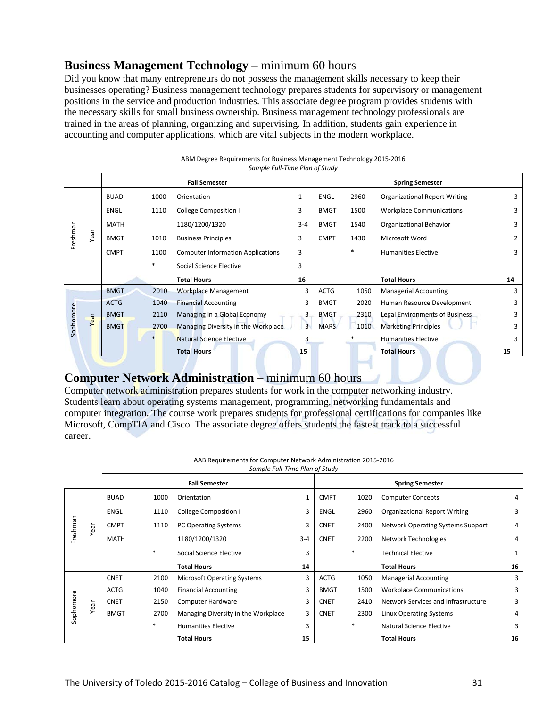## **Business Management Technology** – minimum 60 hours

Did you know that many entrepreneurs do not possess the management skills necessary to keep their businesses operating? Business management technology prepares students for supervisory or management positions in the service and production industries. This associate degree program provides students with the necessary skills for small business ownership. Business management technology professionals are trained in the areas of planning, organizing and supervising. In addition, students gain experience in accounting and computer applications, which are vital subjects in the modern workplace.

|           |      | Sample Full-Time Plan of Study |                      |                                          |         |             |      |                                      |    |  |
|-----------|------|--------------------------------|----------------------|------------------------------------------|---------|-------------|------|--------------------------------------|----|--|
|           |      |                                | <b>Fall Semester</b> |                                          |         |             |      | <b>Spring Semester</b>               |    |  |
|           |      | <b>BUAD</b>                    | 1000                 | Orientation                              | 1       | <b>ENGL</b> | 2960 | <b>Organizational Report Writing</b> | 3  |  |
|           |      | <b>ENGL</b>                    | 1110                 | <b>College Composition I</b>             | 3       | <b>BMGT</b> | 1500 | <b>Workplace Communications</b>      | 3  |  |
|           |      | <b>MATH</b>                    |                      | 1180/1200/1320                           | $3 - 4$ | <b>BMGT</b> | 1540 | Organizational Behavior              | 3  |  |
| Freshman  | Year | <b>BMGT</b>                    | 1010                 | <b>Business Principles</b>               | 3       | <b>CMPT</b> | 1430 | Microsoft Word                       | 2  |  |
|           |      | <b>CMPT</b>                    | 1100                 | <b>Computer Information Applications</b> | 3       |             | *    | <b>Humanities Elective</b>           | 3  |  |
|           |      |                                | *                    | Social Science Elective                  | 3       |             |      |                                      |    |  |
|           |      |                                |                      | <b>Total Hours</b>                       | 16      |             |      | <b>Total Hours</b>                   | 14 |  |
|           |      | <b>BMGT</b>                    | 2010                 | <b>Workplace Management</b>              | 3       | <b>ACTG</b> | 1050 | <b>Managerial Accounting</b>         | 3  |  |
|           |      | <b>ACTG</b>                    | 1040                 | <b>Financial Accounting</b>              | 3       | <b>BMGT</b> | 2020 | Human Resource Development           | 3  |  |
|           | Year | <b>BMGT</b>                    | 2110                 | Managing in a Global Economy             | 3       | <b>BMGT</b> | 2310 | Legal Environments of Business       | 3  |  |
| Sophomore |      | <b>BMGT</b>                    | 2700                 | Managing Diversity in the Workplace      | 3       | <b>MARS</b> | 1010 | <b>Marketing Principles</b>          | 3  |  |
|           |      |                                |                      | <b>Natural Science Elective</b>          | 3       |             |      | <b>Humanities Elective</b>           | 3  |  |
|           |      |                                |                      | <b>Total Hours</b>                       | 15      |             |      | <b>Total Hours</b>                   | 15 |  |

## ABM Degree Requirements for Business Management Technology 2015-2016

**Computer Network Administration** – minimum 60 hours<br>Computer network administration prepares students for work in the computer networking industry. Students learn about operating systems management, programming, networking fundamentals and computer integration. The course work prepares students for professional certifications for companies like Microsoft, CompTIA and Cisco. The associate degree offers students the fastest track to a successful career.

| Sample Full-Time Plan of Study | AAB Requirements for Computer Network Administration 2015-2016 |  |
|--------------------------------|----------------------------------------------------------------|--|
|                                |                                                                |  |

|           |      |             |        | <b>Fall Semester</b>                |         |             |        | <b>Spring Semester</b>                   |    |
|-----------|------|-------------|--------|-------------------------------------|---------|-------------|--------|------------------------------------------|----|
|           |      | <b>BUAD</b> | 1000   | Orientation                         | 1       | <b>CMPT</b> | 1020   | <b>Computer Concepts</b>                 | 4  |
|           |      | ENGL        | 1110   | College Composition I               | 3       | ENGL        | 2960   | <b>Organizational Report Writing</b>     | 3  |
| Freshman  | Year | <b>CMPT</b> | 1110   | PC Operating Systems                | 3       | <b>CNET</b> | 2400   | <b>Network Operating Systems Support</b> | 4  |
|           |      | <b>MATH</b> |        | 1180/1200/1320                      | $3 - 4$ | <b>CNET</b> | 2200   | Network Technologies                     | 4  |
|           |      |             | $\ast$ | Social Science Elective             | 3       |             | $\ast$ | <b>Technical Elective</b>                | 1  |
|           |      |             |        | <b>Total Hours</b>                  | 14      |             |        | <b>Total Hours</b>                       | 16 |
|           |      | <b>CNET</b> | 2100   | <b>Microsoft Operating Systems</b>  | 3       | <b>ACTG</b> | 1050   | <b>Managerial Accounting</b>             | 3  |
|           |      | <b>ACTG</b> | 1040   | <b>Financial Accounting</b>         | 3       | <b>BMGT</b> | 1500   | <b>Workplace Communications</b>          | 3  |
|           | Year | <b>CNET</b> | 2150   | Computer Hardware                   | 3       | <b>CNET</b> | 2410   | Network Services and Infrastructure      | 3  |
| Sophomore |      | <b>BMGT</b> | 2700   | Managing Diversity in the Workplace | 3       | <b>CNET</b> | 2300   | Linux Operating Systems                  | 4  |
|           |      |             | $*$    | <b>Humanities Elective</b>          | 3       |             | $*$    | Natural Science Elective                 | 3  |
|           |      |             |        | <b>Total Hours</b>                  | 15      |             |        | <b>Total Hours</b>                       | 16 |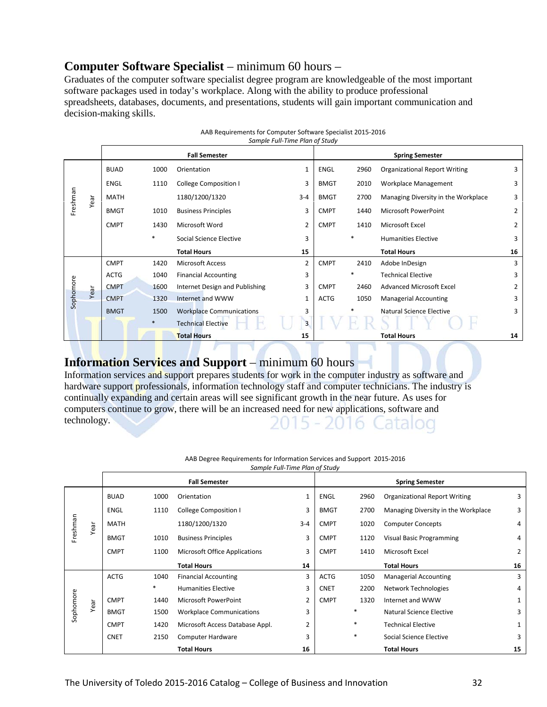## **Computer Software Specialist** – minimum 60 hours –

Graduates of the computer software specialist degree program are knowledgeable of the most important software packages used in today's workplace. Along with the ability to produce professional spreadsheets, databases, documents, and presentations, students will gain important communication and decision-making skills.

|           |      | Sumple Full-Time Plum of Study |        |                                 |                |             |                        |                                      |                |  |
|-----------|------|--------------------------------|--------|---------------------------------|----------------|-------------|------------------------|--------------------------------------|----------------|--|
|           |      |                                |        | <b>Fall Semester</b>            |                |             | <b>Spring Semester</b> |                                      |                |  |
|           |      | <b>BUAD</b>                    | 1000   | Orientation                     | 1              | ENGL        | 2960                   | <b>Organizational Report Writing</b> | 3              |  |
|           |      | ENGL                           | 1110   | <b>College Composition I</b>    | 3              | <b>BMGT</b> | 2010                   | Workplace Management                 | 3              |  |
| Freshman  | Year | <b>MATH</b>                    |        | 1180/1200/1320                  | $3 - 4$        | <b>BMGT</b> | 2700                   | Managing Diversity in the Workplace  | 3              |  |
|           |      | <b>BMGT</b>                    | 1010   | <b>Business Principles</b>      | 3              | <b>CMPT</b> | 1440                   | Microsoft PowerPoint                 | $\overline{2}$ |  |
|           |      | <b>CMPT</b>                    | 1430   | Microsoft Word                  | $\overline{2}$ | <b>CMPT</b> | 1410                   | Microsoft Excel                      | 2              |  |
|           |      |                                | *      | Social Science Elective         | 3              |             | $\ast$                 | <b>Humanities Elective</b>           | 3              |  |
|           |      |                                |        | <b>Total Hours</b>              | 15             |             |                        | <b>Total Hours</b>                   | 16             |  |
|           |      | <b>CMPT</b>                    | 1420   | <b>Microsoft Access</b>         | $\overline{2}$ | <b>CMPT</b> | 2410                   | Adobe InDesign                       | 3              |  |
|           |      | <b>ACTG</b>                    | 1040   | <b>Financial Accounting</b>     | 3              |             | *                      | <b>Technical Elective</b>            | 3              |  |
|           | Year | <b>CMPT</b>                    | 1600   | Internet Design and Publishing  | 3              | <b>CMPT</b> | 2460                   | <b>Advanced Microsoft Excel</b>      | 2              |  |
| Sophomore |      | <b>CMPT</b>                    | 1320   | Internet and WWW                | $\mathbf{1}$   | <b>ACTG</b> | 1050                   | <b>Managerial Accounting</b>         | 3              |  |
|           |      | <b>BMGT</b>                    | 1500   | <b>Workplace Communications</b> | 3              |             |                        | Natural Science Elective             | 3              |  |
|           |      |                                | $\ast$ | <b>Technical Elective</b>       | 3              |             |                        |                                      |                |  |
|           |      |                                |        | <b>Total Hours</b>              | 15             |             |                        | <b>Total Hours</b>                   | 14             |  |

| AAB Requirements for Computer Software Specialist 2015-2016 |
|-------------------------------------------------------------|
| Sample Full-Time Plan of Study                              |

## **Information Services and Support** – minimum 60 hours

Information services and support prepares students for work in the computer industry as software and hardware support professionals, information technology staff and computer technicians. The industry is continually expanding and certain areas will see significant growth in the near future. As uses for computers continue to grow, there will be an increased need for new applications, software and technology. 20 5 - 2016 Catalog

|           |      | Sample Full-Time Plan of Study |                      |                                 |                |             |                        |                                      |                |  |
|-----------|------|--------------------------------|----------------------|---------------------------------|----------------|-------------|------------------------|--------------------------------------|----------------|--|
|           |      |                                | <b>Fall Semester</b> |                                 |                |             | <b>Spring Semester</b> |                                      |                |  |
|           |      | <b>BUAD</b>                    | 1000                 | Orientation                     | 1              | <b>ENGL</b> | 2960                   | <b>Organizational Report Writing</b> | 3              |  |
|           |      | ENGL                           | 1110                 | College Composition I           | 3              | <b>BMGT</b> | 2700                   | Managing Diversity in the Workplace  | 3              |  |
| Freshman  | Year | <b>MATH</b>                    |                      | 1180/1200/1320                  | $3 - 4$        | <b>CMPT</b> | 1020                   | <b>Computer Concepts</b>             | 4              |  |
|           |      | <b>BMGT</b>                    | 1010                 | <b>Business Principles</b>      | 3              | <b>CMPT</b> | 1120                   | Visual Basic Programming             | 4              |  |
|           |      | <b>CMPT</b>                    | 1100                 | Microsoft Office Applications   | 3              | <b>CMPT</b> | 1410                   | Microsoft Excel                      | $\overline{2}$ |  |
|           |      |                                |                      | <b>Total Hours</b>              | 14             |             |                        | <b>Total Hours</b>                   | 16             |  |
|           |      | <b>ACTG</b>                    | 1040                 | <b>Financial Accounting</b>     | 3              | <b>ACTG</b> | 1050                   | <b>Managerial Accounting</b>         | 3              |  |
|           |      |                                | $\ast$               | <b>Humanities Elective</b>      | 3              | <b>CNET</b> | 2200                   | Network Technologies                 | 4              |  |
|           | Year | <b>CMPT</b>                    | 1440                 | Microsoft PowerPoint            | $\overline{2}$ | <b>CMPT</b> | 1320                   | Internet and WWW                     | 1              |  |
| Sophomore |      | <b>BMGT</b>                    | 1500                 | <b>Workplace Communications</b> | 3              |             | $\ast$                 | Natural Science Elective             | 3              |  |
|           |      | <b>CMPT</b>                    | 1420                 | Microsoft Access Database Appl. | $\overline{2}$ |             | *                      | <b>Technical Elective</b>            | 1              |  |
|           |      | <b>CNET</b>                    | 2150                 | <b>Computer Hardware</b>        | 3              |             | $\ast$                 | Social Science Elective              | 3              |  |
|           |      |                                |                      | <b>Total Hours</b>              | 16             |             |                        | <b>Total Hours</b>                   | 15             |  |

AAB Degree Requirements for Information Services and Support 2015-2016 *Sample Full-Time Plan of Study*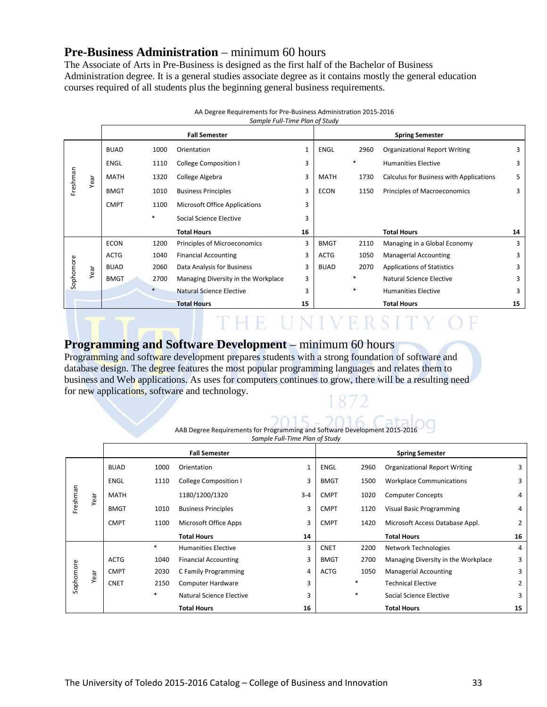## **Pre-Business Administration** – minimum 60 hours

The Associate of Arts in Pre-Business is designed as the first half of the Bachelor of Business Administration degree. It is a general studies associate degree as it contains mostly the general education courses required of all students plus the beginning general business requirements.

|           |      | <b>Fall Semester</b> |        |                                     |    |             |        | <b>Spring Semester</b>                  |    |
|-----------|------|----------------------|--------|-------------------------------------|----|-------------|--------|-----------------------------------------|----|
|           |      | <b>BUAD</b>          | 1000   | Orientation                         | 1  | <b>ENGL</b> | 2960   | <b>Organizational Report Writing</b>    | 3  |
|           |      | <b>ENGL</b>          | 1110   | <b>College Composition I</b>        | 3  |             | $\ast$ | <b>Humanities Elective</b>              | 3  |
| Freshman  | Year | <b>MATH</b>          | 1320   | College Algebra                     | 3  | MATH        | 1730   | Calculus for Business with Applications | 5  |
|           |      | <b>BMGT</b>          | 1010   | <b>Business Principles</b>          | 3  | <b>ECON</b> | 1150   | Principles of Macroeconomics            | 3  |
|           |      | <b>CMPT</b>          | 1100   | Microsoft Office Applications       | 3  |             |        |                                         |    |
|           |      |                      | $\ast$ | Social Science Elective             | 3  |             |        |                                         |    |
|           |      |                      |        | <b>Total Hours</b>                  | 16 |             |        | <b>Total Hours</b>                      | 14 |
|           |      | <b>ECON</b>          | 1200   | Principles of Microeconomics        | 3  | <b>BMGT</b> | 2110   | Managing in a Global Economy            | 3  |
|           |      | <b>ACTG</b>          | 1040   | <b>Financial Accounting</b>         | 3  | <b>ACTG</b> | 1050   | <b>Managerial Accounting</b>            | 3  |
|           | Year | <b>BUAD</b>          | 2060   | Data Analysis for Business          | 3  | <b>BUAD</b> | 2070   | <b>Applications of Statistics</b>       | 3  |
| Sophomore |      | <b>BMGT</b>          | 2700   | Managing Diversity in the Workplace | 3  |             | $\ast$ | Natural Science Elective                | 3  |
|           |      |                      |        | Natural Science Elective            | 3  |             | $\ast$ | <b>Humanities Elective</b>              | 3  |
|           |      |                      |        | <b>Total Hours</b>                  | 15 |             |        | <b>Total Hours</b>                      | 15 |

| AA Degree Requirements for Pre-Business Administration 2015-2016 |  |
|------------------------------------------------------------------|--|
| Sample Full-Time Plan of Study                                   |  |

# THE UNIVERSITY OF

## **Programming and Software Development** – minimum 60 hours

Programming and software development prepares students with a strong foundation of software and database design. The degree features the most popular programming languages and relates them to business and Web applications. As uses for computers continues to grow, there will be a resulting need for new applications, software and technology.

# AAB Degree Requirements for Programming and Software Development 2015-2016

*Sample Full-Time Plan of Study*

|           |      |             | <b>Fall Semester</b> |                             |              |             | <b>Spring Semester</b> |                                      |    |  |
|-----------|------|-------------|----------------------|-----------------------------|--------------|-------------|------------------------|--------------------------------------|----|--|
|           |      | <b>BUAD</b> | 1000                 | Orientation                 | $\mathbf{1}$ | <b>ENGL</b> | 2960                   | <b>Organizational Report Writing</b> | 3  |  |
|           |      | <b>ENGL</b> | 1110                 | College Composition I       | 3            | <b>BMGT</b> | 1500                   | <b>Workplace Communications</b>      | 3  |  |
| Freshman  | Year | <b>MATH</b> |                      | 1180/1200/1320              | $3 - 4$      | <b>CMPT</b> | 1020                   | <b>Computer Concepts</b>             | 4  |  |
|           |      | <b>BMGT</b> | 1010                 | <b>Business Principles</b>  | 3            | <b>CMPT</b> | 1120                   | <b>Visual Basic Programming</b>      | 4  |  |
|           |      | <b>CMPT</b> | 1100                 | Microsoft Office Apps       | 3            | <b>CMPT</b> | 1420                   | Microsoft Access Database Appl.      | 2  |  |
|           |      |             |                      | <b>Total Hours</b>          | 14           |             |                        | <b>Total Hours</b>                   | 16 |  |
|           |      |             | *                    | <b>Humanities Elective</b>  | 3            | <b>CNET</b> | 2200                   | Network Technologies                 | 4  |  |
|           |      | <b>ACTG</b> | 1040                 | <b>Financial Accounting</b> | 3            | <b>BMGT</b> | 2700                   | Managing Diversity in the Workplace  | 3  |  |
|           | Year | <b>CMPT</b> | 2030                 | C Family Programming        | 4            | <b>ACTG</b> | 1050                   | <b>Managerial Accounting</b>         | 3  |  |
| Sophomore |      | <b>CNET</b> | 2150                 | Computer Hardware           | 3            |             | ∗                      | <b>Technical Elective</b>            | 2  |  |
|           |      |             | $\ast$               | Natural Science Elective    | 3            |             | $\ast$                 | Social Science Elective              | 3  |  |
|           |      |             |                      | <b>Total Hours</b>          | 16           |             |                        | <b>Total Hours</b>                   | 15 |  |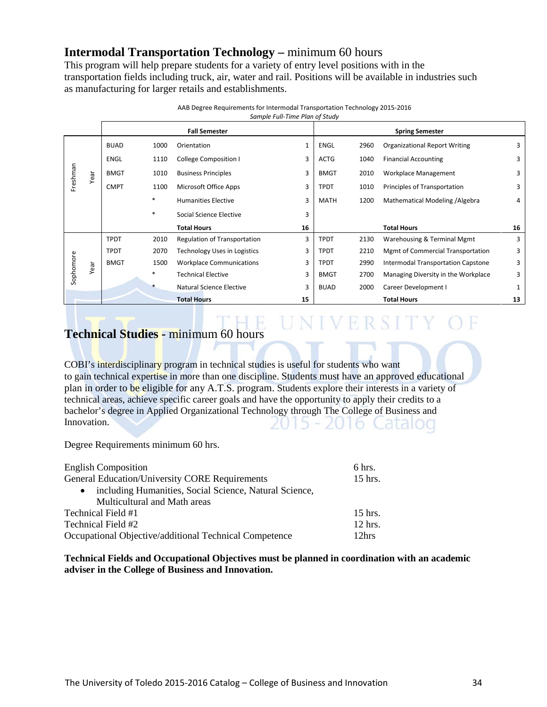## **Intermodal Transportation Technology –** minimum 60 hours

This program will help prepare students for a variety of entry level positions with in the transportation fields including truck, air, water and rail. Positions will be available in industries such as manufacturing for larger retails and establishments.

|           |      |             |        | <b>Fall Semester</b>            |    |             |      | <b>Spring Semester</b>               |    |
|-----------|------|-------------|--------|---------------------------------|----|-------------|------|--------------------------------------|----|
|           |      | <b>BUAD</b> | 1000   | Orientation                     | 1  | ENGL        | 2960 | <b>Organizational Report Writing</b> | 3  |
|           |      | <b>ENGL</b> | 1110   | College Composition I           | 3  | <b>ACTG</b> | 1040 | <b>Financial Accounting</b>          | 3  |
| Freshman  | Year | <b>BMGT</b> | 1010   | <b>Business Principles</b>      | 3  | <b>BMGT</b> | 2010 | Workplace Management                 | 3  |
|           |      | <b>CMPT</b> | 1100   | Microsoft Office Apps           | 3  | <b>TPDT</b> | 1010 | Principles of Transportation         | 3  |
|           |      |             | $\ast$ | <b>Humanities Elective</b>      | 3  | MATH        | 1200 | Mathematical Modeling / Algebra      | 4  |
|           |      |             | $\ast$ | Social Science Elective         | 3  |             |      |                                      |    |
|           |      |             |        | <b>Total Hours</b>              | 16 |             |      | <b>Total Hours</b>                   | 16 |
|           |      | <b>TPDT</b> | 2010   | Regulation of Transportation    | 3  | <b>TPDT</b> | 2130 | Warehousing & Terminal Mgmt          | 3  |
|           |      | <b>TPDT</b> | 2070   | Technology Uses in Logistics    | 3  | <b>TPDT</b> | 2210 | Mgmt of Commercial Transportation    | 3  |
|           | Year | <b>BMGT</b> | 1500   | <b>Workplace Communications</b> | 3  | <b>TPDT</b> | 2990 | Intermodal Transportation Capstone   | 3  |
| Sophomore |      |             | $\ast$ | <b>Technical Elective</b>       | 3  | <b>BMGT</b> | 2700 | Managing Diversity in the Workplace  | 3  |
|           |      |             |        | Natural Science Elective        | 3  | <b>BUAD</b> | 2000 | Career Development I                 | 1  |
|           |      |             |        | <b>Total Hours</b>              | 15 |             |      | <b>Total Hours</b>                   | 13 |

AAB Degree Requirements for Intermodal Transportation Technology 2015-2016 *Sample Full-Time Plan of Study*

# UNIVERSITY OF

## **Technical Studies -** minimum 60 hours

COBI's interdisciplinary program in technical studies is useful for students who want to gain technical expertise in more than one discipline. Students must have an approved educational plan in order to be eligible for any A.T.S. program. Students explore their interests in a variety of technical areas, achieve specific career goals and have the opportunity to apply their credits to a bachelor's degree in Applied Organizational Technology through The College of Business and Innovation. 2015 - 2016 Catalog

Degree Requirements minimum 60 hrs.

| <b>English Composition</b>                                          |  |  |
|---------------------------------------------------------------------|--|--|
| <b>General Education/University CORE Requirements</b>               |  |  |
| including Humanities, Social Science, Natural Science,<br>$\bullet$ |  |  |
| Multicultural and Math areas                                        |  |  |
| Technical Field #1<br>$15$ hrs.                                     |  |  |
| Technical Field #2<br>$12$ hrs.                                     |  |  |
| Occupational Objective/additional Technical Competence<br>12hrs     |  |  |

**Technical Fields and Occupational Objectives must be planned in coordination with an academic adviser in the College of Business and Innovation.**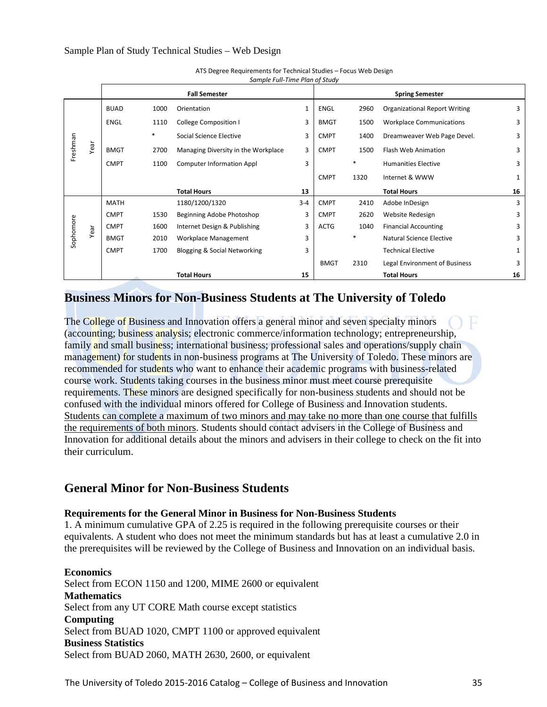|           |      |             |      | <b>Fall Semester</b>                |         |             |        | <b>Spring Semester</b>               |    |
|-----------|------|-------------|------|-------------------------------------|---------|-------------|--------|--------------------------------------|----|
|           |      | <b>BUAD</b> | 1000 | Orientation                         | 1       | <b>ENGL</b> | 2960   | <b>Organizational Report Writing</b> | 3  |
|           |      | <b>ENGL</b> | 1110 | <b>College Composition I</b>        | 3       | <b>BMGT</b> | 1500   | <b>Workplace Communications</b>      | 3  |
|           |      |             | *    | Social Science Elective             | 3       | <b>CMPT</b> | 1400   | Dreamweaver Web Page Devel.          | 3  |
| Freshman  | Year | <b>BMGT</b> | 2700 | Managing Diversity in the Workplace | 3       | <b>CMPT</b> | 1500   | Flash Web Animation                  | 3  |
|           |      | <b>CMPT</b> | 1100 | <b>Computer Information Appl</b>    | 3       |             | *      | <b>Humanities Elective</b>           | 3  |
|           |      |             |      |                                     |         | <b>CMPT</b> | 1320   | Internet & WWW                       | 1  |
|           |      |             |      | <b>Total Hours</b>                  | 13      |             |        | <b>Total Hours</b>                   | 16 |
|           |      | <b>MATH</b> |      | 1180/1200/1320                      | $3 - 4$ | <b>CMPT</b> | 2410   | Adobe InDesign                       | 3  |
|           |      | <b>CMPT</b> | 1530 | Beginning Adobe Photoshop           | 3       | <b>CMPT</b> | 2620   | Website Redesign                     | 3  |
|           | Year | <b>CMPT</b> | 1600 | Internet Design & Publishing        | 3       | <b>ACTG</b> | 1040   | <b>Financial Accounting</b>          | 3  |
| Sophomore |      | <b>BMGT</b> | 2010 | Workplace Management                | 3       |             | $\ast$ | Natural Science Elective             | 3  |
|           |      | <b>CMPT</b> | 1700 | Blogging & Social Networking        | 3       |             |        | <b>Technical Elective</b>            | 1  |
|           |      |             |      |                                     |         | <b>BMGT</b> | 2310   | Legal Environment of Business        | 3  |
|           |      |             |      | <b>Total Hours</b>                  | 15      |             |        | <b>Total Hours</b>                   | 16 |

ATS Degree Requirements for Technical Studies – Focus Web Design *Sample Full-Time Plan of Study*

## **Business Minors for Non-Business Students at The University of Toledo**

The College of Business and Innovation offers a general minor and seven specialty minors (accounting; business analysis; electronic commerce/information technology; entrepreneurship, family and small business; international business; professional sales and operations/supply chain management) for students in non-business programs at The University of Toledo. These minors are recommended for students who want to enhance their academic programs with business-related course work. Students taking courses in the business minor must meet course prerequisite requirements. These minors are designed specifically for non-business students and should not be confused with the individual minors offered for College of Business and Innovation students. Students can complete a maximum of two minors and may take no more than one course that fulfills the requirements of both minors. Students should contact advisers in the College of Business and Innovation for additional details about the minors and advisers in their college to check on the fit into their curriculum.

## **General Minor for Non-Business Students**

## **Requirements for the General Minor in Business for Non-Business Students**

1. A minimum cumulative GPA of 2.25 is required in the following prerequisite courses or their equivalents. A student who does not meet the minimum standards but has at least a cumulative 2.0 in the prerequisites will be reviewed by the College of Business and Innovation on an individual basis.

**Economics**  Select from ECON 1150 and 1200, MIME 2600 or equivalent **Mathematics**  Select from any UT CORE Math course except statistics **Computing** Select from BUAD 1020, CMPT 1100 or approved equivalent **Business Statistics**  Select from BUAD 2060, MATH 2630, 2600, or equivalent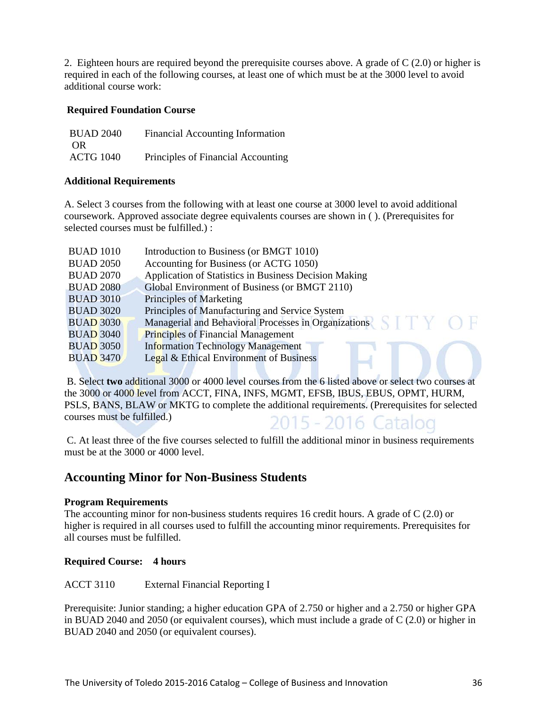2. Eighteen hours are required beyond the prerequisite courses above. A grade of C (2.0) or higher is required in each of the following courses, at least one of which must be at the 3000 level to avoid additional course work:

## **Required Foundation Course**

| <b>BUAD 2040</b> | <b>Financial Accounting Information</b> |
|------------------|-----------------------------------------|
| OR               |                                         |
| <b>ACTG 1040</b> | Principles of Financial Accounting      |

## **Additional Requirements**

A. Select 3 courses from the following with at least one course at 3000 level to avoid additional coursework. Approved associate degree equivalents courses are shown in ( ). (Prerequisites for selected courses must be fulfilled.) :

| <b>BUAD 1010</b> | Introduction to Business (or BMGT 1010)               |
|------------------|-------------------------------------------------------|
| <b>BUAD 2050</b> | Accounting for Business (or ACTG 1050)                |
| <b>BUAD 2070</b> | Application of Statistics in Business Decision Making |
| <b>BUAD 2080</b> | Global Environment of Business (or BMGT 2110)         |
| <b>BUAD 3010</b> | Principles of Marketing                               |
| <b>BUAD 3020</b> | Principles of Manufacturing and Service System        |
| <b>BUAD 3030</b> | Managerial and Behavioral Processes in Organizations  |
| <b>BUAD 3040</b> | <b>Principles of Financial Management</b>             |
| <b>BUAD 3050</b> | <b>Information Technology Management</b>              |
| <b>BUAD 3470</b> | Legal & Ethical Environment of Business               |
|                  |                                                       |

B. Select **two** additional 3000 or 4000 level courses from the 6 listed above or select two courses at the 3000 or 4000 level from ACCT, FINA, INFS, MGMT, EFSB, IBUS, EBUS, OPMT, HURM, PSLS, BANS, BLAW or MKTG to complete the additional requirements. (Prerequisites for selected courses must be fulfilled.) 2015 - 2016 Catalog

C. At least three of the five courses selected to fulfill the additional minor in business requirements must be at the 3000 or 4000 level.

## **Accounting Minor for Non-Business Students**

## **Program Requirements**

The accounting minor for non-business students requires 16 credit hours. A grade of C (2.0) or higher is required in all courses used to fulfill the accounting minor requirements. Prerequisites for all courses must be fulfilled.

## **Required Course: 4 hours**

ACCT 3110 External Financial Reporting I

Prerequisite: Junior standing; a higher education GPA of 2.750 or higher and a 2.750 or higher GPA in BUAD 2040 and 2050 (or equivalent courses), which must include a grade of C (2.0) or higher in BUAD 2040 and 2050 (or equivalent courses).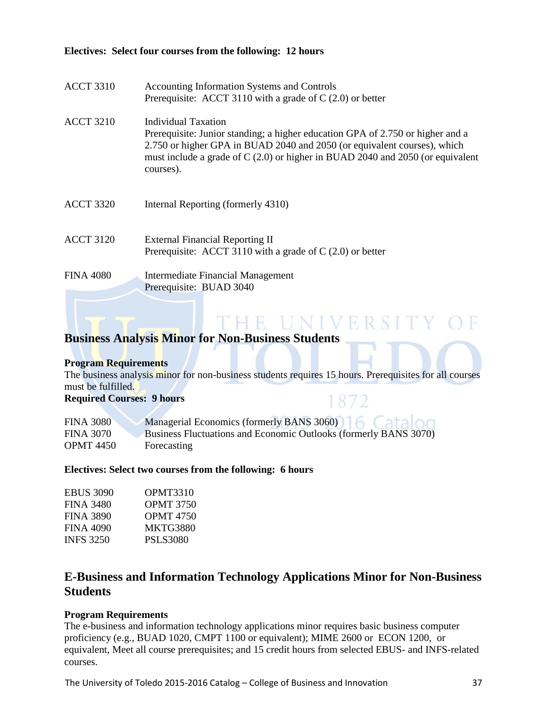## **Electives: Select four courses from the following: 12 hours**

| <b>ACCT 3310</b> | Accounting Information Systems and Controls<br>Prerequisite: ACCT 3110 with a grade of $C(2.0)$ or better                                                                                                                                                                        |
|------------------|----------------------------------------------------------------------------------------------------------------------------------------------------------------------------------------------------------------------------------------------------------------------------------|
| <b>ACCT 3210</b> | Individual Taxation<br>Prerequisite: Junior standing; a higher education GPA of 2.750 or higher and a<br>2.750 or higher GPA in BUAD 2040 and 2050 (or equivalent courses), which<br>must include a grade of C (2.0) or higher in BUAD 2040 and 2050 (or equivalent<br>courses). |
| <b>ACCT 3320</b> | Internal Reporting (formerly 4310)                                                                                                                                                                                                                                               |
| <b>ACCT 3120</b> | <b>External Financial Reporting II</b><br>Prerequisite: ACCT 3110 with a grade of $C(2.0)$ or better                                                                                                                                                                             |
| <b>FINA 4080</b> | Intermediate Financial Management<br>Prerequisite: BUAD 3040                                                                                                                                                                                                                     |

## **Business Analysis Minor for Non-Business Students**

#### **Program Requirements**

The business analysis minor for non-business students requires 15 hours. Prerequisites for all courses must be fulfilled.

THE UNIVERSIT

1872

**Required Courses: 9 hours** 

| <b>FINA 3080</b> | Managerial Economics (formerly BANS 3060)                        |
|------------------|------------------------------------------------------------------|
| <b>FINA 3070</b> | Business Fluctuations and Economic Outlooks (formerly BANS 3070) |
| <b>OPMT</b> 4450 | Forecasting                                                      |

#### **Electives: Select two courses from the following: 6 hours**

| EBUS 3090        | OPMT3310         |
|------------------|------------------|
| FINA 3480        | <b>OPMT 3750</b> |
| FINA 3890        | <b>OPMT</b> 4750 |
| FINA 4090        | <b>MKTG3880</b>  |
| <b>INES 3250</b> | <b>PSLS3080</b>  |
|                  |                  |

## **E-Business and Information Technology Applications Minor for Non-Business Students**

#### **Program Requirements**

The e-business and information technology applications minor requires basic business computer proficiency (e.g., BUAD 1020, CMPT 1100 or equivalent); MIME 2600 or ECON 1200, or equivalent, Meet all course prerequisites; and 15 credit hours from selected EBUS- and INFS-related courses.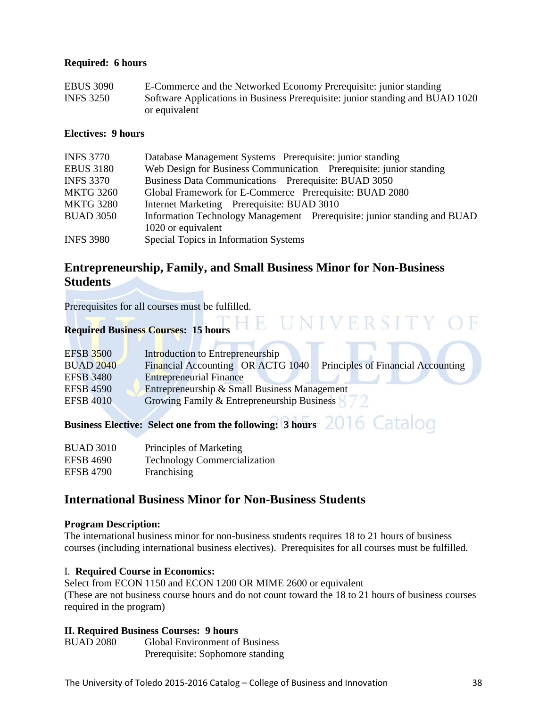#### **Required: 6 hours**

| <b>EBUS 3090</b> | E-Commerce and the Networked Economy Prerequisite: junior standing            |
|------------------|-------------------------------------------------------------------------------|
| <b>INFS 3250</b> | Software Applications in Business Prerequisite: junior standing and BUAD 1020 |
|                  | or equivalent                                                                 |

## **Electives: 9 hours**

| <b>INFS 3770</b> | Database Management Systems Prerequisite: junior standing                |
|------------------|--------------------------------------------------------------------------|
| <b>EBUS 3180</b> | Web Design for Business Communication Prerequisite: junior standing      |
| <b>INFS 3370</b> | Business Data Communications Prerequisite: BUAD 3050                     |
| <b>MKTG 3260</b> | Global Framework for E-Commerce Prerequisite: BUAD 2080                  |
| <b>MKTG 3280</b> | Internet Marketing Prerequisite: BUAD 3010                               |
| <b>BUAD 3050</b> | Information Technology Management Prerequisite: junior standing and BUAD |
|                  | 1020 or equivalent                                                       |
| <b>INFS 3980</b> | Special Topics in Information Systems                                    |

## **Entrepreneurship, Family, and Small Business Minor for Non-Business Students**

Prerequisites for all courses must be fulfilled.

# **Required Business Courses: 15 hours**

| <b>EFSB 3500</b> | Introduction to Entrepreneurship                                        |
|------------------|-------------------------------------------------------------------------|
| <b>BUAD 2040</b> | Financial Accounting OR ACTG 1040<br>Principles of Financial Accounting |
| <b>EFSB</b> 3480 | <b>Entrepreneurial Finance</b>                                          |
| <b>EFSB 4590</b> | Entrepreneurship & Small Business Management                            |
| <b>EFSB 4010</b> | Growing Family & Entrepreneurship Business                              |

**Business Elective: Select one from the following: 3 hours** 2016 Catalog

| <b>BUAD 3010</b> | Principles of Marketing             |
|------------------|-------------------------------------|
| <b>EFSB 4690</b> | <b>Technology Commercialization</b> |
| <b>EFSB 4790</b> | Franchising                         |

## **International Business Minor for Non-Business Students**

**The State** 

#### **Program Description:**

The international business minor for non-business students requires 18 to 21 hours of business courses (including international business electives). Prerequisites for all courses must be fulfilled.

#### I. **Required Course in Economics:**

Select from ECON 1150 and ECON 1200 OR MIME 2600 or equivalent (These are not business course hours and do not count toward the 18 to 21 hours of business courses required in the program)

## **II. Required Business Courses: 9 hours**

BUAD 2080 Global Environment of Business Prerequisite: Sophomore standing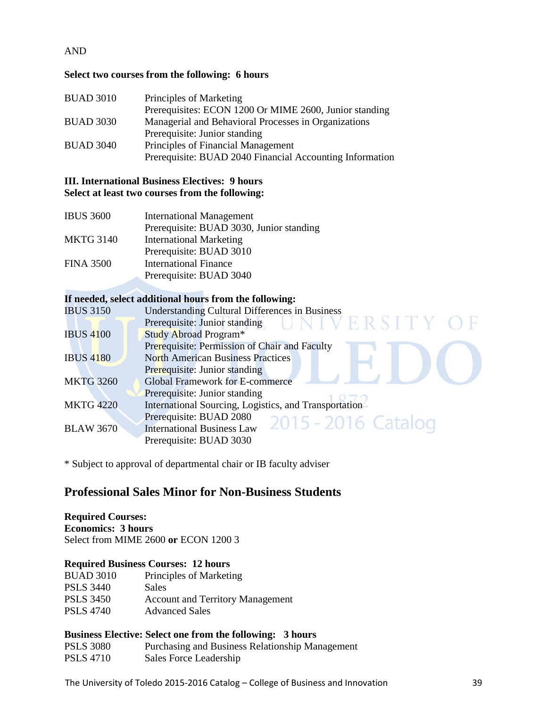## AND

## **Select two courses from the following: 6 hours**

| <b>BUAD 3010</b> | Principles of Marketing                                  |
|------------------|----------------------------------------------------------|
|                  | Prerequisites: ECON 1200 Or MIME 2600, Junior standing   |
| <b>BUAD 3030</b> | Managerial and Behavioral Processes in Organizations     |
|                  | Prerequisite: Junior standing                            |
| <b>BUAD 3040</b> | Principles of Financial Management                       |
|                  | Prerequisite: BUAD 2040 Financial Accounting Information |

## **III. International Business Electives: 9 hours Select at least two courses from the following:**

| <b>IBUS 3600</b> | <b>International Management</b>          |
|------------------|------------------------------------------|
|                  | Prerequisite: BUAD 3030, Junior standing |
| <b>MKTG 3140</b> | <b>International Marketing</b>           |
|                  | Prerequisite: BUAD 3010                  |
| <b>FINA 3500</b> | <b>International Finance</b>             |
|                  | Prerequisite: BUAD 3040                  |

## **If needed, select additional hours from the following:**

| <b>IBUS 3150</b> | <b>Understanding Cultural Differences in Business</b> |
|------------------|-------------------------------------------------------|
|                  | Prerequisite: Junior standing UNIVERSITY O            |
| <b>IBUS 4100</b> | Study Abroad Program*                                 |
|                  | Prerequisite: Permission of Chair and Faculty         |
| <b>IBUS 4180</b> | <b>North American Business Practices</b>              |
|                  | Prerequisite: Junior standing                         |
| <b>MKTG 3260</b> | <b>Global Framework for E-commerce</b>                |
|                  | Prerequisite: Junior standing                         |
| <b>MKTG 4220</b> | International Sourcing, Logistics, and Transportation |
|                  | Prerequisite: BUAD 2080<br>2015 - 2016 Catalog        |
| <b>BLAW 3670</b> | <b>International Business Law</b>                     |
|                  | Prerequisite: BUAD 3030                               |
|                  |                                                       |

\* Subject to approval of departmental chair or IB faculty adviser

## **Professional Sales Minor for Non-Business Students**

## **Required Courses:**

**Economics: 3 hours**  Select from MIME 2600 **or** ECON 1200 3

#### **Required Business Courses: 12 hours**

| Principles of Marketing                 |
|-----------------------------------------|
| <b>Sales</b>                            |
| <b>Account and Territory Management</b> |
| <b>Advanced Sales</b>                   |
|                                         |

## **Business Elective: Select one from the following: 3 hours**

PSLS 3080 Purchasing and Business Relationship Management PSLS 4710 Sales Force Leadership

The University of Toledo 2015-2016 Catalog – College of Business and Innovation 39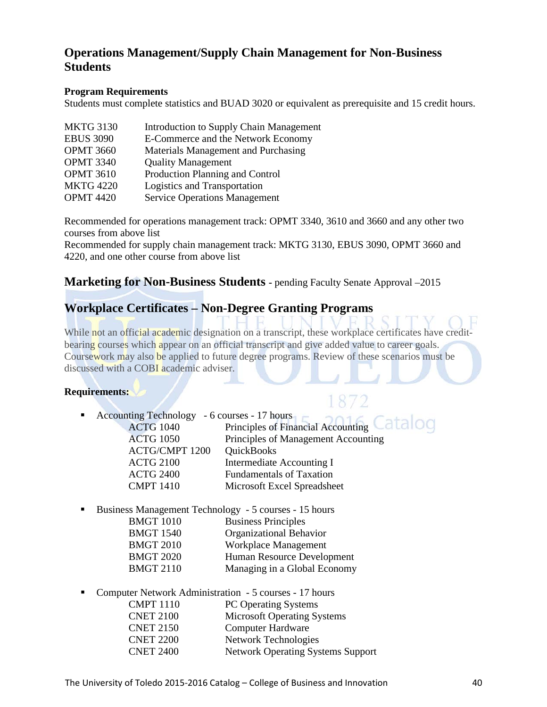## **Operations Management/Supply Chain Management for Non-Business Students**

## **Program Requirements**

Students must complete statistics and BUAD 3020 or equivalent as prerequisite and 15 credit hours.

| <b>MKTG 3130</b> | Introduction to Supply Chain Management |
|------------------|-----------------------------------------|
| <b>EBUS 3090</b> | E-Commerce and the Network Economy      |
| <b>OPMT 3660</b> | Materials Management and Purchasing     |
| <b>OPMT 3340</b> | <b>Quality Management</b>               |
| <b>OPMT 3610</b> | Production Planning and Control         |
| <b>MKTG 4220</b> | Logistics and Transportation            |
| <b>OPMT 4420</b> | <b>Service Operations Management</b>    |

Recommended for operations management track: OPMT 3340, 3610 and 3660 and any other two courses from above list

Recommended for supply chain management track: MKTG 3130, EBUS 3090, OPMT 3660 and 4220, and one other course from above list

## **Marketing for Non-Business Students -** pending Faculty Senate Approval –2015

## **Workplace Certificates – [Non-Degree Granting Programs](http://www.utoledo.edu/business/aot/)**

While not an official academic designation on a transcript, these workplace certificates have creditbearing courses which appear on an official transcript and give added value to career goals. Coursework may also be applied to future degree programs. Review of these scenarios must be discussed with a COBI academic adviser.

## **Requirements:**

## Accounting Technology - 6 courses - 17 hours ACTG 1040 Principles of Financial Accounting Catalog ACTG 1050 Principles of Management Accounting ACTG/CMPT 1200 QuickBooks ACTG 2100 Intermediate Accounting I ACTG 2400 Fundamentals of Taxation CMPT 1410 Microsoft Excel Spreadsheet

Business Management Technology - 5 courses - 15 hours

| BMGT 1010 |  | <b>Business Principles</b> |  |
|-----------|--|----------------------------|--|
|           |  |                            |  |

- BMGT 1540 Organizational Behavior
- BMGT 2010 Workplace Management
- BMGT 2020 Human Resource Development
- BMGT 2110 Managing in a Global Economy
- Computer Network Administration 5 courses 17 hours

| <b>CMPT 1110</b> | <b>PC Operating Systems</b>              |
|------------------|------------------------------------------|
| <b>CNET 2100</b> | <b>Microsoft Operating Systems</b>       |
| <b>CNET 2150</b> | <b>Computer Hardware</b>                 |
| <b>CNET 2200</b> | <b>Network Technologies</b>              |
| <b>CNET 2400</b> | <b>Network Operating Systems Support</b> |
|                  |                                          |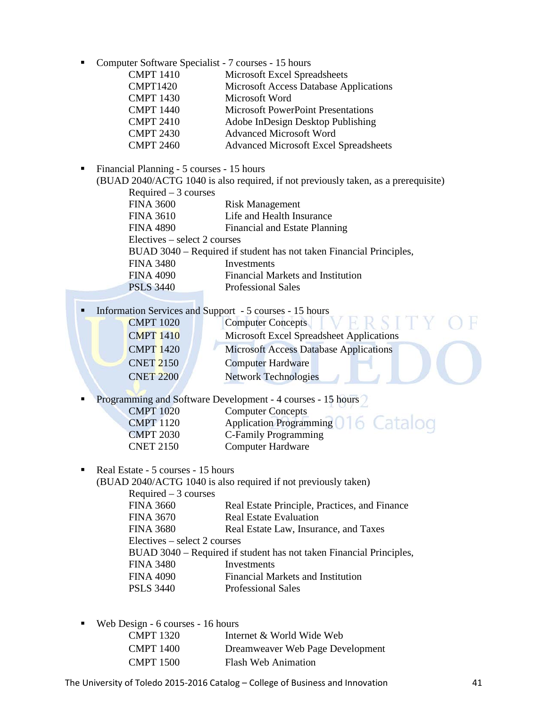|  |  |  | • Computer Software Specialist - 7 courses - 15 hours |  |  |
|--|--|--|-------------------------------------------------------|--|--|
|--|--|--|-------------------------------------------------------|--|--|

| <b>CMPT 1410</b> | Microsoft Excel Spreadsheets                  |
|------------------|-----------------------------------------------|
| <b>CMPT1420</b>  | <b>Microsoft Access Database Applications</b> |
| <b>CMPT 1430</b> | Microsoft Word                                |
| <b>CMPT 1440</b> | <b>Microsoft PowerPoint Presentations</b>     |
| <b>CMPT 2410</b> | Adobe InDesign Desktop Publishing             |
| <b>CMPT 2430</b> | <b>Advanced Microsoft Word</b>                |
| <b>CMPT 2460</b> | <b>Advanced Microsoft Excel Spreadsheets</b>  |
|                  |                                               |

Financial Planning - 5 courses - 15 hours

| (BUAD 2040/ACTG 1040 is also required, if not previously taken, as a prerequisite) |  |
|------------------------------------------------------------------------------------|--|
| $Required - 3 courses$                                                             |  |

| <b>FINA 3600</b>             | <b>Risk Management</b>                                              |  |
|------------------------------|---------------------------------------------------------------------|--|
| <b>FINA 3610</b>             | Life and Health Insurance                                           |  |
| <b>FINA 4890</b>             | Financial and Estate Planning                                       |  |
| Electives – select 2 courses |                                                                     |  |
|                              | BUAD 3040 – Required if student has not taken Financial Principles, |  |
| <b>FINA 3480</b>             | Investments                                                         |  |
| <b>FINA 4090</b>             | <b>Financial Markets and Institution</b>                            |  |
| <b>PSLS 3440</b>             | <b>Professional Sales</b>                                           |  |
|                              |                                                                     |  |

Information Services and Support - 5 courses - 15 hours

| <b>CMPT 1020</b> | <b>Computer Concepts</b>                      |  |
|------------------|-----------------------------------------------|--|
| <b>CMPT 1410</b> | Microsoft Excel Spreadsheet Applications      |  |
| <b>CMPT 1420</b> | <b>Microsoft Access Database Applications</b> |  |
| <b>CNET 2150</b> | <b>Computer Hardware</b>                      |  |
| <b>CNET 2200</b> | <b>Network Technologies</b>                   |  |
|                  |                                               |  |

**Programming and Software Development - 4 courses - 15 hours** 

| <b>CMPT 1020</b><br><b>CMPT</b> 1120 | <b>Computer Concepts</b><br><b>Application Programming</b><br>Catalog |
|--------------------------------------|-----------------------------------------------------------------------|
| <b>CMPT 2030</b>                     | C-Family Programming                                                  |
| <b>CNET 2150</b>                     | Computer Hardware                                                     |

Real Estate - 5 courses - 15 hours

(BUAD 2040/ACTG 1040 is also required if not previously taken) Required  $-3$  courses FINA 3660 Real Estate Principle, Practices, and Finance FINA 3670 Real Estate Evaluation FINA 3680 Real Estate Law, Insurance, and Taxes Electives – select 2 courses BUAD 3040 – Required if student has not taken Financial Principles, FINA 3480 Investments FINA 4090 Financial Markets and Institution PSLS 3440 Professional Sales

Web Design - 6 courses - 16 hours

| <b>CMPT</b> 1320 | Internet & World Wide Web        |
|------------------|----------------------------------|
| CMPT 1400        | Dreamweaver Web Page Development |
| <b>CMPT 1500</b> | <b>Flash Web Animation</b>       |

The University of Toledo 2015-2016 Catalog – College of Business and Innovation 41